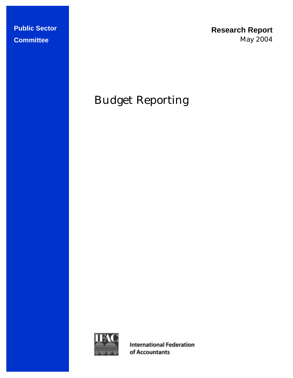**Research Report**  May 2004

# Budget Reporting



**International Federation** of Accountants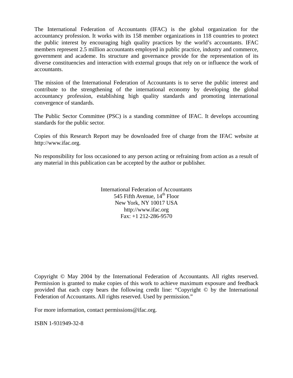The International Federation of Accountants (IFAC) is the global organization for the accountancy profession. It works with its 158 member organizations in 118 countries to protect the public interest by encouraging high quality practices by the world's accountants. IFAC members represent 2.5 million accountants employed in public practice, industry and commerce, government and academe. Its structure and governance provide for the representation of its diverse constituencies and interaction with external groups that rely on or influence the work of accountants.

The mission of the International Federation of Accountants is to serve the public interest and contribute to the strengthening of the international economy by developing the global accountancy profession, establishing high quality standards and promoting international convergence of standards.

The Public Sector Committee (PSC) is a standing committee of IFAC. It develops accounting standards for the public sector.

Copies of this Research Report may be downloaded free of charge from the IFAC website at http://www.ifac.org.

No responsibility for loss occasioned to any person acting or refraining from action as a result of any material in this publication can be accepted by the author or publisher.

> International Federation of Accountants 545 Fifth Avenue,  $14<sup>th</sup>$  Floor New York, NY 10017 USA http://www.ifac.org Fax: +1 212-286-9570

Copyright © May 2004 by the International Federation of Accountants. All rights reserved. Permission is granted to make copies of this work to achieve maximum exposure and feedback provided that each copy bears the following credit line: "Copyright © by the International Federation of Accountants. All rights reserved. Used by permission."

For more information, contact permissions@ifac.org.

ISBN 1-931949-32-8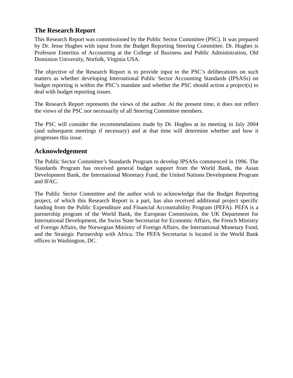## **The Research Report**

This Research Report was commissioned by the Public Sector Committee (PSC). It was prepared by Dr. Jesse Hughes with input from the Budget Reporting Steering Committee. Dr. Hughes is Professor Emeritus of Accounting at the College of Business and Public Administration, Old Dominion University, Norfolk, Virginia USA.

The objective of the Research Report is to provide input to the PSC's deliberations on such matters as whether developing International Public Sector Accounting Standards (IPSASs) on budget reporting is within the PSC's mandate and whether the PSC should action a project(s) to deal with budget reporting issues.

The Research Report represents the views of the author. At the present time, it does not reflect the views of the PSC nor necessarily of all Steering Committee members.

The PSC will consider the recommendations made by Dr. Hughes at its meeting in July 2004 (and subsequent meetings if necessary) and at that time will determine whether and how it progresses this issue.

## **Acknowledgement**

The Public Sector Committee's Standards Program to develop IPSASs commenced in 1996. The Standards Program has received general budget support from the World Bank, the Asian Development Bank, the International Monetary Fund, the United Nations Development Program and IFAC.

The Public Sector Committee and the author wish to acknowledge that the Budget Reporting project, of which this Research Report is a part, has also received additional project specific funding from the Public Expenditure and Financial Accountability Program (PEFA). PEFA is a partnership program of the World Bank, the European Commission, the UK Department for International Development, the Swiss State Secretariat for Economic Affairs, the French Ministry of Foreign Affairs, the Norwegian Ministry of Foreign Affairs, the International Monetary Fund, and the Strategic Partnership with Africa. The PEFA Secretariat is located in the World Bank offices in Washington, DC.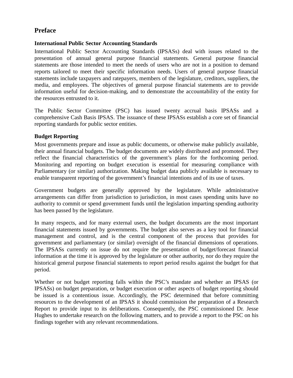## **Preface**

## **International Public Sector Accounting Standards**

International Public Sector Accounting Standards (IPSASs) deal with issues related to the presentation of annual general purpose financial statements. General purpose financial statements are those intended to meet the needs of users who are not in a position to demand reports tailored to meet their specific information needs. Users of general purpose financial statements include taxpayers and ratepayers, members of the legislature, creditors, suppliers, the media, and employees. The objectives of general purpose financial statements are to provide information useful for decision-making, and to demonstrate the accountability of the entity for the resources entrusted to it.

The Public Sector Committee (PSC) has issued twenty accrual basis IPSASs and a comprehensive Cash Basis IPSAS. The issuance of these IPSASs establish a core set of financial reporting standards for public sector entities.

## **Budget Reporting**

Most governments prepare and issue as public documents, or otherwise make publicly available, their annual financial budgets. The budget documents are widely distributed and promoted. They reflect the financial characteristics of the government's plans for the forthcoming period. Monitoring and reporting on budget execution is essential for measuring compliance with Parliamentary (or similar) authorization. Making budget data publicly available is necessary to enable transparent reporting of the government's financial intentions and of its use of taxes.

Government budgets are generally approved by the legislature. While administrative arrangements can differ from jurisdiction to jurisdiction, in most cases spending units have no authority to commit or spend government funds until the legislation imparting spending authority has been passed by the legislature.

In many respects, and for many external users, the budget documents are the most important financial statements issued by governments. The budget also serves as a key tool for financial management and control, and is the central component of the process that provides for government and parliamentary (or similar) oversight of the financial dimensions of operations. The IPSASs currently on issue do not require the presentation of budget/forecast financial information at the time it is approved by the legislature or other authority, nor do they require the historical general purpose financial statements to report period results against the budget for that period.

Whether or not budget reporting falls within the PSC's mandate and whether an IPSAS (or IPSASs) on budget preparation, or budget execution or other aspects of budget reporting should be issued is a contentious issue. Accordingly, the PSC determined that before committing resources to the development of an IPSAS it should commission the preparation of a Research Report to provide input to its deliberations. Consequently, the PSC commissioned Dr. Jesse Hughes to undertake research on the following matters, and to provide a report to the PSC on his findings together with any relevant recommendations.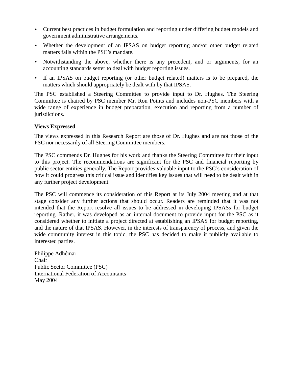- Current best practices in budget formulation and reporting under differing budget models and government administrative arrangements.
- Whether the development of an IPSAS on budget reporting and/or other budget related matters falls within the PSC's mandate.
- Notwithstanding the above, whether there is any precedent, and or arguments, for an accounting standards setter to deal with budget reporting issues.
- If an IPSAS on budget reporting (or other budget related) matters is to be prepared, the matters which should appropriately be dealt with by that IPSAS.

The PSC established a Steering Committee to provide input to Dr. Hughes. The Steering Committee is chaired by PSC member Mr. Ron Points and includes non-PSC members with a wide range of experience in budget preparation, execution and reporting from a number of jurisdictions.

#### **Views Expressed**

The views expressed in this Research Report are those of Dr. Hughes and are not those of the PSC nor necessarily of all Steering Committee members.

The PSC commends Dr. Hughes for his work and thanks the Steering Committee for their input to this project. The recommendations are significant for the PSC and financial reporting by public sector entities generally. The Report provides valuable input to the PSC's consideration of how it could progress this critical issue and identifies key issues that will need to be dealt with in any further project development.

The PSC will commence its consideration of this Report at its July 2004 meeting and at that stage consider any further actions that should occur. Readers are reminded that it was not intended that the Report resolve all issues to be addressed in developing IPSASs for budget reporting. Rather, it was developed as an internal document to provide input for the PSC as it considered whether to initiate a project directed at establishing an IPSAS for budget reporting, and the nature of that IPSAS. However, in the interests of transparency of process, and given the wide community interest in this topic, the PSC has decided to make it publicly available to interested parties.

Philippe Adhémar Chair Public Sector Committee (PSC) International Federation of Accountants May 2004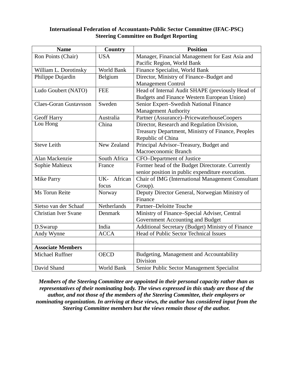#### **International Federation of Accountants-Public Sector Committee (IFAC-PSC) Steering Committee on Budget Reporting**

| <b>Name</b>                   | <b>Country</b> | <b>Position</b>                                   |
|-------------------------------|----------------|---------------------------------------------------|
| Ron Points (Chair)            | <b>USA</b>     | Manager, Financial Management for East Asia and   |
|                               |                | Pacific Region, World Bank                        |
| William L. Dorotinsky         | World Bank     | Finance Specialist, World Bank                    |
| Philippe Dujardin             | Belgium        | Director, Ministry of Finance-Budget and          |
|                               |                | <b>Management Control</b>                         |
| Ludo Goubert (NATO)           | <b>FEE</b>     | Head of Internal Audit SHAPE (previously Head of  |
|                               |                | Budgets and Finance Western European Union)       |
| <b>Claes-Goran Gustavsson</b> | Sweden         | Senior Expert-Swedish National Finance            |
|                               |                | <b>Management Authority</b>                       |
| Geoff Harry                   | Australia      | Partner (Assurance)-PricewaterhouseCoopers        |
| Lou Hong                      | China          | Director, Research and Regulation Division,       |
|                               |                | Treasury Department, Ministry of Finance, Peoples |
|                               |                | Republic of China                                 |
| <b>Steve Leith</b>            | New Zealand    | Principal Advisor-Treasury, Budget and            |
|                               |                | Macroeconomic Branch                              |
| Alan Mackenzie                | South Africa   | CFO-Department of Justice                         |
| Sophie Mahieux                | France         | Former head of the Budget Directorate. Currently  |
|                               |                | senior position in public expenditure execution.  |
| Mike Parry                    | UK- African    | Chair of IMG (International Management Consultant |
|                               | focus          | Group).                                           |
| Ms Torun Reite                | Norway         | Deputy Director General, Norwegian Ministry of    |
|                               |                | Finance                                           |
| Sietso van der Schaaf         | Netherlands    | Partner-Deloitte Touche                           |
| <b>Christian Iver Svane</b>   | Denmark        | Ministry of Finance-Special Adviser, Central      |
|                               |                | Government Accounting and Budget                  |
| D.Swarup                      | India          | Additional Secretary (Budget) Ministry of Finance |
| Andy Wynne                    | <b>ACCA</b>    | Head of Public Sector Technical Issues            |
|                               |                |                                                   |
| <b>Associate Members</b>      |                |                                                   |
| <b>Michael Ruffner</b>        | <b>OECD</b>    | Budgeting, Management and Accountability          |
|                               |                | Division                                          |
| David Shand                   | World Bank     | Senior Public Sector Management Specialist        |

*Members of the Steering Committee are appointed in their personal capacity rather than as representatives of their nominating body. The views expressed in this study are those of the author, and not those of the members of the Steering Committee, their employers or nominating organization. In arriving at these views, the author has considered input from the Steering Committee members but the views remain those of the author.*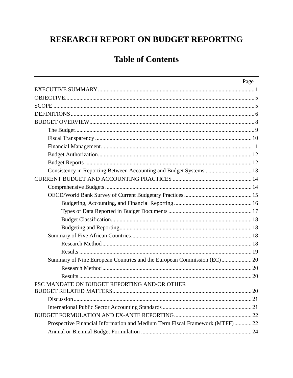## **Table of Contents**

|                                                                             | Page |
|-----------------------------------------------------------------------------|------|
|                                                                             |      |
|                                                                             |      |
|                                                                             |      |
|                                                                             |      |
|                                                                             |      |
|                                                                             |      |
|                                                                             |      |
|                                                                             |      |
|                                                                             |      |
|                                                                             |      |
| Consistency in Reporting Between Accounting and Budget Systems  13          |      |
|                                                                             |      |
|                                                                             |      |
|                                                                             |      |
|                                                                             |      |
|                                                                             |      |
|                                                                             |      |
|                                                                             |      |
|                                                                             |      |
|                                                                             |      |
|                                                                             |      |
| Summary of Nine European Countries and the European Commission (EC) 20      |      |
|                                                                             |      |
|                                                                             |      |
| PSC MANDATE ON BUDGET REPORTING AND/OR OTHER                                |      |
|                                                                             |      |
|                                                                             |      |
|                                                                             |      |
|                                                                             |      |
| Prospective Financial Information and Medium Term Fiscal Framework (MTFF)22 |      |
|                                                                             |      |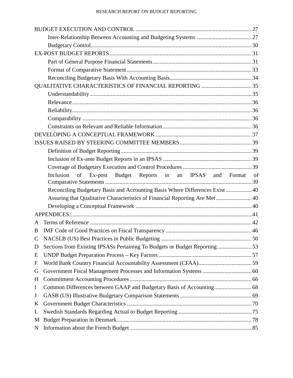|              | Inclusion<br>of Ex-post Budget Reports in an IPSAS and Format                | of |
|--------------|------------------------------------------------------------------------------|----|
|              |                                                                              |    |
|              | Reconciling Budgetary Basis and Accounting Basis Where Differences Exist  40 |    |
|              | Assuring that Qualitative Characteristics of Financial Reporting Are Met 40  |    |
|              |                                                                              |    |
|              |                                                                              |    |
| A            |                                                                              |    |
| B            |                                                                              |    |
| $\mathsf{C}$ |                                                                              |    |
| D            | Sections from Existing IPSASs Pertaining To Budgets or Budget Reporting53    |    |
| E            |                                                                              |    |
| F            |                                                                              |    |
| G            |                                                                              |    |
| H            |                                                                              |    |
| $\mathbf I$  |                                                                              |    |
| J            |                                                                              |    |
| K            |                                                                              |    |
| L            |                                                                              |    |
| M            |                                                                              |    |
| N            |                                                                              |    |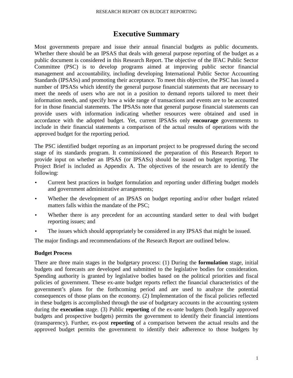## **Executive Summary**

Most governments prepare and issue their annual financial budgets as public documents. Whether there should be an IPSAS that deals with general purpose reporting of the budget as a public document is considered in this Research Report. The objective of the IFAC Public Sector Committee (PSC) is to develop programs aimed at improving public sector financial management and accountability, including developing International Public Sector Accounting Standards (IPSASs) and promoting their acceptance. To meet this objective, the PSC has issued a number of IPSASs which identify the general purpose financial statements that are necessary to meet the needs of users who are not in a position to demand reports tailored to meet their information needs, and specify how a wide range of transactions and events are to be accounted for in those financial statements. The IPSASs note that general purpose financial statements can provide users with information indicating whether resources were obtained and used in accordance with the adopted budget. Yet, current IPSASs only **encourage** governments to include in their financial statements a comparison of the actual results of operations with the approved budget for the reporting period.

The PSC identified budget reporting as an important project to be progressed during the second stage of its standards program. It commissioned the preparation of this Research Report to provide input on whether an IPSAS (or IPSASs) should be issued on budget reporting. The Project Brief is included as Appendix A. The objectives of the research are to identify the following:

- Current best practices in budget formulation and reporting under differing budget models and government administrative arrangements;
- Whether the development of an IPSAS on budget reporting and/or other budget related matters falls within the mandate of the PSC;
- Whether there is any precedent for an accounting standard setter to deal with budget reporting issues; and
- The issues which should appropriately be considered in any IPSAS that might be issued.

The major findings and recommendations of the Research Report are outlined below.

#### **Budget Process**

There are three main stages in the budgetary process: (1) During the **formulation** stage, initial budgets and forecasts are developed and submitted to the legislative bodies for consideration. Spending authority is granted by legislative bodies based on the political priorities and fiscal policies of government. These ex-ante budget reports reflect the financial characteristics of the government's plans for the forthcoming period and are used to analyze the potential consequences of those plans on the economy. (2) Implementation of the fiscal policies reflected in these budgets is accomplished through the use of budgetary accounts in the accounting system during the **execution** stage. (3) Public **reporting** of the ex-ante budgets (both legally approved budgets and prospective budgets) permits the government to identify their financial intentions (transparency). Further, ex-post **reporting** of a comparison between the actual results and the approved budget permits the government to identify their adherence to those budgets by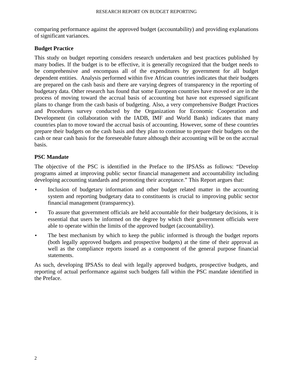comparing performance against the approved budget (accountability) and providing explanations of significant variances.

#### **Budget Practice**

This study on budget reporting considers research undertaken and best practices published by many bodies. If the budget is to be effective, it is generally recognized that the budget needs to be comprehensive and encompass all of the expenditures by government for all budget dependent entities. Analysis performed within five African countries indicates that their budgets are prepared on the cash basis and there are varying degrees of transparency in the reporting of budgetary data. Other research has found that some European countries have moved or are in the process of moving toward the accrual basis of accounting but have not expressed significant plans to change from the cash basis of budgeting. Also, a very comprehensive Budget Practices and Procedures survey conducted by the Organization for Economic Cooperation and Development (in collaboration with the IADB, IMF and World Bank) indicates that many countries plan to move toward the accrual basis of accounting. However, some of these countries prepare their budgets on the cash basis and they plan to continue to prepare their budgets on the cash or near cash basis for the foreseeable future although their accounting will be on the accrual basis.

#### **PSC Mandate**

The objective of the PSC is identified in the Preface to the IPSASs as follows: "Develop programs aimed at improving public sector financial management and accountability including developing accounting standards and promoting their acceptance." This Report argues that:

- Inclusion of budgetary information and other budget related matter in the accounting system and reporting budgetary data to constituents is crucial to improving public sector financial management (transparency).
- To assure that government officials are held accountable for their budgetary decisions, it is essential that users be informed on the degree by which their government officials were able to operate within the limits of the approved budget (accountability).
- The best mechanism by which to keep the public informed is through the budget reports (both legally approved budgets and prospective budgets) at the time of their approval as well as the compliance reports issued as a component of the general purpose financial statements.

As such, developing IPSASs to deal with legally approved budgets, prospective budgets, and reporting of actual performance against such budgets fall within the PSC mandate identified in the Preface.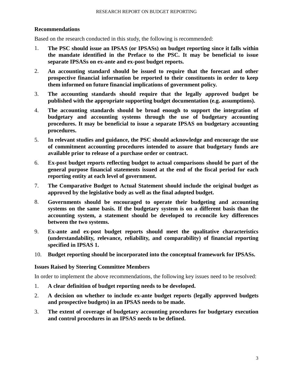#### **Recommendations**

Based on the research conducted in this study, the following is recommended:

- 1. **The PSC should issue an IPSAS (or IPSASs) on budget reporting since it falls within the mandate identified in the Preface to the PSC. It may be beneficial to issue separate IPSASs on ex-ante and ex-post budget reports.**
- 2. **An accounting standard should be issued to require that the forecast and other prospective financial information be reported to their constituents in order to keep them informed on future financial implications of government policy.**
- 3. **The accounting standards should require that the legally approved budget be published with the appropriate supporting budget documentation (e.g. assumptions).**
- 4. **The accounting standards should be broad enough to support the integration of budgetary and accounting systems through the use of budgetary accounting procedures. It may be beneficial to issue a separate IPSAS on budgetary accounting procedures.**
- 5. **In relevant studies and guidance, the PSC should acknowledge and encourage the use of commitment accounting procedures intended to assure that budgetary funds are available prior to release of a purchase order or contract.**
- 6. **Ex-post budget reports reflecting budget to actual comparisons should be part of the general purpose financial statements issued at the end of the fiscal period for each reporting entity at each level of government.**
- 7. **The Comparative Budget to Actual Statement should include the original budget as approved by the legislative body as well as the final adopted budget.**
- 8. **Governments should be encouraged to operate their budgeting and accounting systems on the same basis. If the budgetary system is on a different basis than the accounting system, a statement should be developed to reconcile key differences between the two systems.**
- 9. **Ex-ante and ex-post budget reports should meet the qualitative characteristics (understandability, relevance, reliability, and comparability) of financial reporting specified in IPSAS 1.**
- 10. **Budget reporting should be incorporated into the conceptual framework for IPSASs.**

#### **Issues Raised by Steering Committee Members**

In order to implement the above recommendations, the following key issues need to be resolved:

- 1. **A clear definition of budget reporting needs to be developed.**
- 2. **A decision on whether to include ex-ante budget reports (legally approved budgets and prospective budgets) in an IPSAS needs to be made.**
- 3. **The extent of coverage of budgetary accounting procedures for budgetary execution and control procedures in an IPSAS needs to be defined.**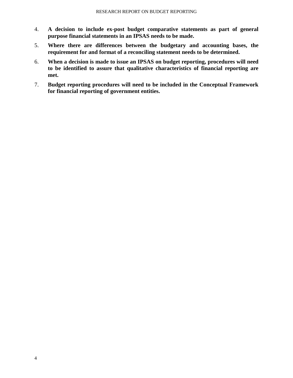- 4. **A decision to include ex-post budget comparative statements as part of general purpose financial statements in an IPSAS needs to be made.**
- 5. **Where there are differences between the budgetary and accounting bases, the requirement for and format of a reconciling statement needs to be determined.**
- 6. **When a decision is made to issue an IPSAS on budget reporting, procedures will need to be identified to assure that qualitative characteristics of financial reporting are met.**
- 7. **Budget reporting procedures will need to be included in the Conceptual Framework for financial reporting of government entities.**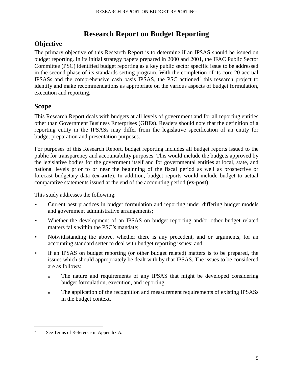## **Research Report on Budget Reporting**

## **Objective**

The primary objective of this Research Report is to determine if an IPSAS should be issued on budget reporting. In its initial strategy papers prepared in 2000 and 2001, the IFAC Public Sector Committee (PSC) identified budget reporting as a key public sector specific issue to be addressed in the second phase of its standards setting program. With the completion of its core 20 accrual IPSASs and the comprehensive cash basis IPSAS, the PSC actioned<sup>1</sup> this research project to identify and make recommendations as appropriate on the various aspects of budget formulation, execution and reporting.

## **Scope**

This Research Report deals with budgets at all levels of government and for all reporting entities other than Government Business Enterprises (GBEs). Readers should note that the definition of a reporting entity in the IPSASs may differ from the legislative specification of an entity for budget preparation and presentation purposes.

For purposes of this Research Report, budget reporting includes all budget reports issued to the public for transparency and accountability purposes. This would include the budgets approved by the legislative bodies for the government itself and for governmental entities at local, state, and national levels prior to or near the beginning of the fiscal period as well as prospective or forecast budgetary data **(ex-ante)**. In addition, budget reports would include budget to actual comparative statements issued at the end of the accounting period **(ex-post)**.

This study addresses the following:

- Current best practices in budget formulation and reporting under differing budget models and government administrative arrangements;
- Whether the development of an IPSAS on budget reporting and/or other budget related matters falls within the PSC's mandate;
- Notwithstanding the above, whether there is any precedent, and or arguments, for an accounting standard setter to deal with budget reporting issues; and
- If an IPSAS on budget reporting (or other budget related) matters is to be prepared, the issues which should appropriately be dealt with by that IPSAS. The issues to be considered are as follows:
	- <sup>o</sup>The nature and requirements of any IPSAS that might be developed considering budget formulation, execution, and reporting.
	- <sup>o</sup>The application of the recognition and measurement requirements of existing IPSASs in the budget context.

 $\frac{1}{1}$ See Terms of Reference in Appendix A.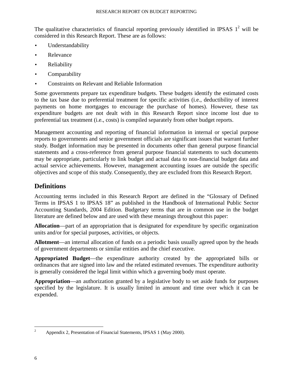The qualitative characteristics of financial reporting previously identified in IPSAS  $1^2$  will be considered in this Research Report. These are as follows:

- Understandability
- Relevance
- Reliability
- Comparability
- Constraints on Relevant and Reliable Information

Some governments prepare tax expenditure budgets. These budgets identify the estimated costs to the tax base due to preferential treatment for specific activities (i.e., deductibility of interest payments on home mortgages to encourage the purchase of homes). However, these tax expenditure budgets are not dealt with in this Research Report since income lost due to preferential tax treatment (i.e., costs) is compiled separately from other budget reports.

Management accounting and reporting of financial information in internal or special purpose reports to governments and senior government officials are significant issues that warrant further study. Budget information may be presented in documents other than general purpose financial statements and a cross-reference from general purpose financial statements to such documents may be appropriate, particularly to link budget and actual data to non-financial budget data and actual service achievements. However, management accounting issues are outside the specific objectives and scope of this study. Consequently, they are excluded from this Research Report.

## **Definitions**

Accounting terms included in this Research Report are defined in the "Glossary of Defined Terms in IPSAS 1 to IPSAS 18" as published in the Handbook of International Public Sector Accounting Standards, 2004 Edition. Budgetary terms that are in common use in the budget literature are defined below and are used with these meanings throughout this paper:

**Allocation**—part of an appropriation that is designated for expenditure by specific organization units and/or for special purposes, activities, or objects.

**Allotment**—an internal allocation of funds on a periodic basis usually agreed upon by the heads of government departments or similar entities and the chief executive.

**Appropriated Budget**—the expenditure authority created by the appropriated bills or ordinances that are signed into law and the related estimated revenues. The expenditure authority is generally considered the legal limit within which a governing body must operate.

**Appropriation**—an authorization granted by a legislative body to set aside funds for purposes specified by the legislature. It is usually limited in amount and time over which it can be expended.

 $\frac{1}{2}$ <sup>2</sup> Appendix 2, Presentation of Financial Statements, IPSAS 1 (May 2000).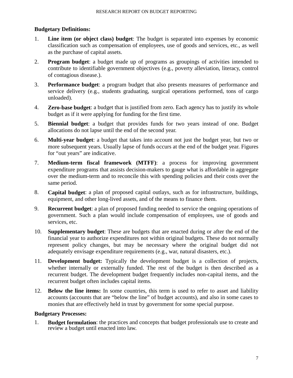#### **Budgetary Definitions:**

- 1. **Line item (or object class) budget**: The budget is separated into expenses by economic classification such as compensation of employees, use of goods and services, etc., as well as the purchase of capital assets.
- 2. **Program budget**: a budget made up of programs as groupings of activities intended to contribute to identifiable government objectives (e.g., poverty alleviation, literacy, control of contagious disease.).
- 3. **Performance budget**: a program budget that also presents measures of performance and service delivery (e.g., students graduating, surgical operations performed, tons of cargo unloaded).
- 4. **Zero-base budget**: a budget that is justified from zero. Each agency has to justify its whole budget as if it were applying for funding for the first time.
- 5. **Biennial budget**: a budget that provides funds for two years instead of one. Budget allocations do not lapse until the end of the second year.
- 6. **Multi-year budget**: a budget that takes into account not just the budget year, but two or more subsequent years. Usually lapse of funds occurs at the end of the budget year. Figures for "out years" are indicative.
- 7. **Medium-term fiscal framework (MTFF)**: a process for improving government expenditure programs that assists decision-makers to gauge what is affordable in aggregate over the medium-term and to reconcile this with spending policies and their costs over the same period.
- 8. **Capital budget**: a plan of proposed capital outlays, such as for infrastructure, buildings, equipment, and other long-lived assets, and of the means to finance them.
- 9. **Recurrent budget**: a plan of proposed funding needed to service the ongoing operations of government. Such a plan would include compensation of employees, use of goods and services, etc.
- 10. **Supplementary budget**: These are budgets that are enacted during or after the end of the financial year to authorize expenditures not within original budgets. These do not normally represent policy changes, but may be necessary where the original budget did not adequately envisage expenditure requirements (e.g., war, natural disasters, etc.).
- 11. **Development budget:** Typically the development budget is a collection of projects, whether internally or externally funded. The rest of the budget is then described as a recurrent budget. The development budget frequently includes non-capital items, and the recurrent budget often includes capital items.
- 12. **Below the line items:** In some countries, this term is used to refer to asset and liability accounts (accounts that are "below the line" of budget accounts), and also in some cases to monies that are effectively held in trust by government for some special purpose.

#### **Budgetary Processes:**

1. **Budget formulation**: the practices and concepts that budget professionals use to create and review a budget until enacted into law.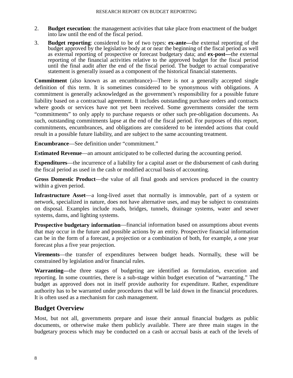- 2. **Budget execution**: the management activities that take place from enactment of the budget into law until the end of the fiscal period.
- 3. **Budget reporting**: considered to be of two types: **ex-ante—**the external reporting of the budget approved by the legislative body at or near the beginning of the fiscal period as well as external reporting of prospective or forecast budgetary data; and **ex-post—**the external reporting of the financial activities relative to the approved budget for the fiscal period until the final audit after the end of the fiscal period. The budget to actual comparative statement is generally issued as a component of the historical financial statements.

**Commitment** (also known as an encumbrance)—There is not a generally accepted single definition of this term. It is sometimes considered to be synonymous with obligations. A commitment is generally acknowledged as the government's responsibility for a possible future liability based on a contractual agreement. It includes outstanding purchase orders and contracts where goods or services have not yet been received. Some governments consider the term "commitments" to only apply to purchase requests or other such pre-obligation documents. As such, outstanding commitments lapse at the end of the fiscal period. For purposes of this report, commitments, encumbrances, and obligations are considered to be intended actions that could result in a possible future liability, and are subject to the same accounting treatment.

**Encumbrance**—See definition under "commitment."

**Estimated Revenue—an amount anticipated to be collected during the accounting period.** 

**Expenditures**—the incurrence of a liability for a capital asset or the disbursement of cash during the fiscal period as used in the cash or modified accrual basis of accounting.

**Gross Domestic Product**—the value of all final goods and services produced in the country within a given period.

**Infrastructure Asset**—a long-lived asset that normally is immovable, part of a system or network, specialized in nature, does not have alternative uses, and may be subject to constraints on disposal. Examples include roads, bridges, tunnels, drainage systems, water and sewer systems, dams, and lighting systems.

**Prospective budgetary information**—financial information based on assumptions about events that may occur in the future and possible actions by an entity. Prospective financial information can be in the form of a forecast, a projection or a combination of both, for example, a one year forecast plus a five year projection.

**Virements**—the transfer of expenditures between budget heads. Normally, these will be constrained by legislation and/or financial rules.

**Warranting—**the three stages of budgeting are identified as formulation, execution and reporting. In some countries, there is a sub-stage within budget execution of "warranting." The budget as approved does not in itself provide authority for expenditure. Rather, expenditure authority has to be warranted under procedures that will be laid down in the financial procedures. It is often used as a mechanism for cash management.

## **Budget Overview**

Most, but not all, governments prepare and issue their annual financial budgets as public documents, or otherwise make them publicly available. There are three main stages in the budgetary process which may be conducted on a cash or accrual basis at each of the levels of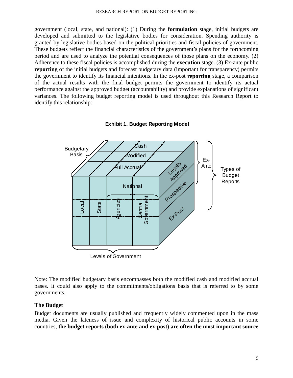government (local, state, and national): (1) During the **formulation** stage, initial budgets are developed and submitted to the legislative bodies for consideration. Spending authority is granted by legislative bodies based on the political priorities and fiscal policies of government. These budgets reflect the financial characteristics of the government's plans for the forthcoming period and are used to analyze the potential consequences of those plans on the economy. (2) Adherence to these fiscal policies is accomplished during the **execution** stage. (3) Ex-ante public **reporting** of the initial budgets and forecast budgetary data (important for transparency) permits the government to identify its financial intentions. In the ex-post **reporting** stage, a comparison of the actual results with the final budget permits the government to identify its actual performance against the approved budget (accountability) and provide explanations of significant variances. The following budget reporting model is used throughout this Research Report to identify this relationship:





Note: The modified budgetary basis encompasses both the modified cash and modified accrual bases. It could also apply to the commitments/obligations basis that is referred to by some governments.

#### **The Budget**

Budget documents are usually published and frequently widely commented upon in the mass media. Given the lateness of issue and complexity of historical public accounts in some countries, **the budget reports (both ex-ante and ex-post) are often the most important source**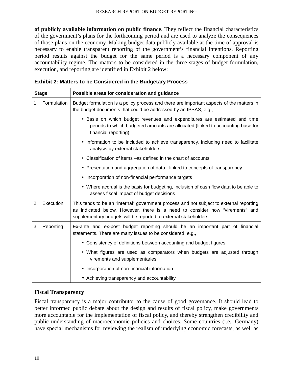**of publicly available information on public finance**. They reflect the financial characteristics of the government's plans for the forthcoming period and are used to analyze the consequences of those plans on the economy. Making budget data publicly available at the time of approval is necessary to enable transparent reporting of the government's financial intentions. Reporting period results against the budget for the same period is a necessary component of any accountability regime. The matters to be considered in the three stages of budget formulation, execution, and reporting are identified in Exhibit 2 below:

| <b>Stage</b>           | Possible areas for consideration and guidance                                                                                                                                                                                              |  |  |  |  |
|------------------------|--------------------------------------------------------------------------------------------------------------------------------------------------------------------------------------------------------------------------------------------|--|--|--|--|
| Formulation<br>$1_{-}$ | Budget formulation is a policy process and there are important aspects of the matters in<br>the budget documents that could be addressed by an IPSAS, e.g.,                                                                                |  |  |  |  |
|                        | • Basis on which budget revenues and expenditures are estimated and time<br>periods to which budgeted amounts are allocated (linked to accounting base for<br>financial reporting)                                                         |  |  |  |  |
|                        | • Information to be included to achieve transparency, including need to facilitate<br>analysis by external stakeholders                                                                                                                    |  |  |  |  |
|                        | Classification of items –as defined in the chart of accounts                                                                                                                                                                               |  |  |  |  |
|                        | • Presentation and aggregation of data - linked to concepts of transparency                                                                                                                                                                |  |  |  |  |
|                        | • Incorporation of non-financial performance targets                                                                                                                                                                                       |  |  |  |  |
|                        | • Where accrual is the basis for budgeting, inclusion of cash flow data to be able to<br>assess fiscal impact of budget decisions                                                                                                          |  |  |  |  |
| 2.<br>Execution        | This tends to be an "internal" government process and not subject to external reporting<br>as indicated below. However, there is a need to consider how "virements" and<br>supplementary budgets will be reported to external stakeholders |  |  |  |  |
| Reporting<br>3.        | Ex-ante and ex-post budget reporting should be an important part of financial<br>statements. There are many issues to be considered, e.g.,                                                                                                 |  |  |  |  |
|                        | • Consistency of definitions between accounting and budget figures                                                                                                                                                                         |  |  |  |  |
|                        | • What figures are used as comparators when budgets are adjusted through<br>virements and supplementaries                                                                                                                                  |  |  |  |  |
|                        | Incorporation of non-financial information                                                                                                                                                                                                 |  |  |  |  |
|                        | • Achieving transparency and accountability                                                                                                                                                                                                |  |  |  |  |

| <b>Exhibit 2: Matters to be Considered in the Budgetary Process</b> |  |
|---------------------------------------------------------------------|--|
|---------------------------------------------------------------------|--|

#### **Fiscal Transparency**

Fiscal transparency is a major contributor to the cause of good governance. It should lead to better informed public debate about the design and results of fiscal policy, make governments more accountable for the implementation of fiscal policy, and thereby strengthen credibility and public understanding of macroeconomic policies and choices. Some countries (i.e., Germany) have special mechanisms for reviewing the realism of underlying economic forecasts, as well as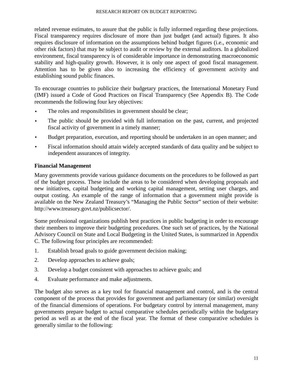related revenue estimates, to assure that the public is fully informed regarding these projections. Fiscal transparency requires disclosure of more than just budget (and actual) figures. It also requires disclosure of information on the assumptions behind budget figures (i.e., economic and other risk factors) that may be subject to audit or review by the external auditors. In a globalized environment, fiscal transparency is of considerable importance in demonstrating macroeconomic stability and high-quality growth. However, it is only one aspect of good fiscal management. Attention has to be given also to increasing the efficiency of government activity and establishing sound public finances.

To encourage countries to publicize their budgetary practices, the International Monetary Fund (IMF) issued a Code of Good Practices on Fiscal Transparency (See Appendix B). The Code recommends the following four key objectives:

- The roles and responsibilities in government should be clear;
- The public should be provided with full information on the past, current, and projected fiscal activity of government in a timely manner;
- Budget preparation, execution, and reporting should be undertaken in an open manner; and
- Fiscal information should attain widely accepted standards of data quality and be subject to independent assurances of integrity.

#### **Financial Management**

Many governments provide various guidance documents on the procedures to be followed as part of the budget process. These include the areas to be considered when developing proposals and new initiatives, capital budgeting and working capital management, setting user charges, and output costing. An example of the range of information that a government might provide is available on the New Zealand Treasury's "Managing the Public Sector" section of their website: http://www.treasury.govt.nz/publicsector/.

Some professional organizations publish best practices in public budgeting in order to encourage their members to improve their budgeting procedures. One such set of practices, by the National Advisory Council on State and Local Budgeting in the United States, is summarized in Appendix C. The following four principles are recommended:

- 1. Establish broad goals to guide government decision making;
- 2. Develop approaches to achieve goals;
- 3. Develop a budget consistent with approaches to achieve goals; and
- 4. Evaluate performance and make adjustments.

The budget also serves as a key tool for financial management and control, and is the central component of the process that provides for government and parliamentary (or similar) oversight of the financial dimensions of operations. For budgetary control by internal management, many governments prepare budget to actual comparative schedules periodically within the budgetary period as well as at the end of the fiscal year. The format of these comparative schedules is generally similar to the following: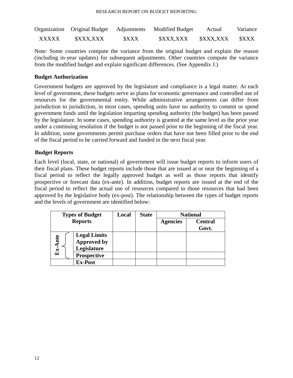|              | Organization Original Budget Adjustments |             | <b>Modified Budget</b> | Actual    | Variance |
|--------------|------------------------------------------|-------------|------------------------|-----------|----------|
| <b>XXXXX</b> | \$XXX,XXX                                | <b>SXXX</b> | \$XXX,XXX              | \$XXX,XXX | \$XXX    |

Note: Some countries compute the variance from the original budget and explain the reason (including in-year updates) for subsequent adjustments. Other countries compute the variance from the modified budget and explain significant differences. (See Appendix J.)

#### **Budget Authorization**

Government budgets are approved by the legislature and compliance is a legal matter. At each level of government, these budgets serve as plans for economic governance and controlled use of resources for the governmental entity. While administrative arrangements can differ from jurisdiction to jurisdiction, in most cases, spending units have no authority to commit or spend government funds until the legislation imparting spending authority (the budget) has been passed by the legislature. In some cases, spending authority is granted at the same level as the prior year under a continuing resolution if the budget is not passed prior to the beginning of the fiscal year. In addition, some governments permit purchase orders that have not been filled prior to the end of the fiscal period to be carried forward and funded in the next fiscal year.

#### **Budget Reports**

Each level (local, state, or national) of government will issue budget reports to inform users of their fiscal plans. These budget reports include those that are issued at or near the beginning of a fiscal period to reflect the legally approved budget as well as those reports that identify prospective or forecast data (ex-ante). In addition, budget reports are issued at the end of the fiscal period to reflect the actual use of resources compared to those resources that had been approved by the legislative body (ex-post). The relationship between the types of budget reports and the levels of government are identified below:

| <b>Types of Budget</b> |                     | Local | <b>State</b> | <b>National</b> |                |
|------------------------|---------------------|-------|--------------|-----------------|----------------|
| <b>Reports</b>         |                     |       |              | <b>Agencies</b> | <b>Central</b> |
|                        |                     |       |              |                 | Govt.          |
|                        | <b>Legal Limits</b> |       |              |                 |                |
| $Ex-Ante$              | <b>Approved by</b>  |       |              |                 |                |
|                        | Legislature         |       |              |                 |                |
|                        | <b>Prospective</b>  |       |              |                 |                |
|                        | <b>Ex-Post</b>      |       |              |                 |                |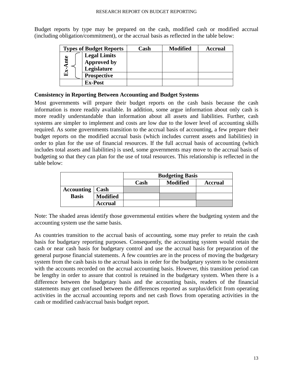Budget reports by type may be prepared on the cash, modified cash or modified accrual (including obligation/commitment), or the accrual basis as reflected in the table below:

|              | <b>Types of Budget Reports</b> | Cash | <b>Modified</b> | <b>Accrual</b> |
|--------------|--------------------------------|------|-----------------|----------------|
|              | <b>Legal Limits</b>            |      |                 |                |
| nte          | <b>Approved by</b>             |      |                 |                |
|              | Legislature                    |      |                 |                |
| $\mathbf{E}$ | <b>Prospective</b>             |      |                 |                |
|              | <b>Ex-Post</b>                 |      |                 |                |

#### **Consistency in Reporting Between Accounting and Budget Systems**

Most governments will prepare their budget reports on the cash basis because the cash information is more readily available. In addition, some argue information about only cash is more readily understandable than information about all assets and liabilities. Further, cash systems are simpler to implement and costs are low due to the lower level of accounting skills required. As some governments transition to the accrual basis of accounting, a few prepare their budget reports on the modified accrual basis (which includes current assets and liabilities) in order to plan for the use of financial resources. If the full accrual basis of accounting (which includes total assets and liabilities) is used, some governments may move to the accrual basis of budgeting so that they can plan for the use of total resources. This relationship is reflected in the table below:

|                   |                 | <b>Budgeting Basis</b> |                 |                |
|-------------------|-----------------|------------------------|-----------------|----------------|
|                   |                 | Cash                   | <b>Modified</b> | <b>Accrual</b> |
| <b>Accounting</b> | Cash            |                        |                 |                |
| <b>Basis</b>      | <b>Modified</b> |                        |                 |                |
|                   | <b>Accrual</b>  |                        |                 |                |

Note: The shaded areas identify those governmental entities where the budgeting system and the accounting system use the same basis.

As countries transition to the accrual basis of accounting, some may prefer to retain the cash basis for budgetary reporting purposes. Consequently, the accounting system would retain the cash or near cash basis for budgetary control and use the accrual basis for preparation of the general purpose financial statements. A few countries are in the process of moving the budgetary system from the cash basis to the accrual basis in order for the budgetary system to be consistent with the accounts recorded on the accrual accounting basis. However, this transition period can be lengthy in order to assure that control is retained in the budgetary system. When there is a difference between the budgetary basis and the accounting basis, readers of the financial statements may get confused between the differences reported as surplus/deficit from operating activities in the accrual accounting reports and net cash flows from operating activities in the cash or modified cash/accrual basis budget report.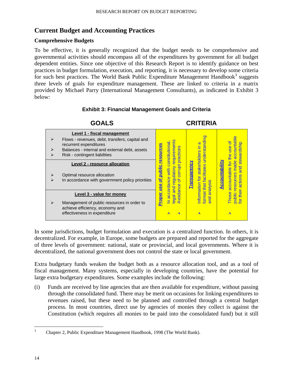## **Current Budget and Accounting Practices**

#### **Comprehensive Budgets**

To be effective, it is generally recognized that the budget needs to be comprehensive and governmental activities should encompass all of the expenditures by government for all budget dependent entities. Since one objective of this Research Report is to identify guidance on best practices in budget formulation, execution, and reporting, it is necessary to develop some criteria for such best practices. The World Bank Public Expenditure Management Handbook<sup>3</sup> suggests three levels of goals for expenditure management. These are linked to criteria in a matrix provided by Michael Parry (International Management Consultants), as indicated in Exhibit 3 below:

#### **Exhibit 3: Financial Management Goals and Criteria**



In some jurisdictions, budget formulation and execution is a centralized function. In others, it is decentralized. For example, in Europe, some budgets are prepared and reported for the aggregate of three levels of government: national, state or provincial, and local governments. Where it is decentralized, the national government does not control the state or local government.

Extra budgetary funds weaken the budget both as a resource allocation tool, and as a tool of fiscal management. Many systems, especially in developing countries, have the potential for large extra budgetary expenditures. Some examples include the following:

(i) Funds are received by line agencies that are then available for expenditure, without passing through the consolidated fund. There may be merit on occasions for linking expenditures to revenues raised, but these need to be planned and controlled through a central budget process. In most countries, direct use by agencies of monies they collect is against the Constitution (which requires all monies to be paid into the consolidated fund) but it still

<sup>&</sup>lt;sup>2</sup><br>3 Chapter 2, Public Expenditure Management Handbook, 1998 (The World Bank).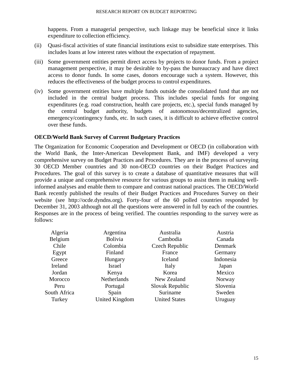happens. From a managerial perspective, such linkage may be beneficial since it links expenditure to collection efficiency.

- (ii) Quasi-fiscal activities of state financial institutions exist to subsidize state enterprises. This includes loans at low interest rates without the expectation of repayment.
- (iii) Some government entities permit direct access by projects to donor funds. From a project management perspective, it may be desirable to by-pass the bureaucracy and have direct access to donor funds. In some cases, donors encourage such a system. However, this reduces the effectiveness of the budget process to control expenditures.
- (iv) Some government entities have multiple funds outside the consolidated fund that are not included in the central budget process. This includes special funds for ongoing expenditures (e.g. road construction, health care projects, etc.), special funds managed by the central budget authority, budgets of autonomous/decentralized agencies, emergency/contingency funds, etc. In such cases, it is difficult to achieve effective control over these funds.

#### **OECD/World Bank Survey of Current Budgetary Practices**

The Organization for Economic Cooperation and Development or OECD (in collaboration with the World Bank, the Inter-American Development Bank, and IMF) developed a very comprehensive survey on Budget Practices and Procedures. They are in the process of surveying 30 OECD Member countries and 30 non-OECD countries on their Budget Practices and Procedures. The goal of this survey is to create a database of quantitative measures that will provide a unique and comprehensive resource for various groups to assist them in making wellinformed analyses and enable them to compare and contrast national practices. The OECD/World Bank recently published the results of their Budget Practices and Procedures Survey on their website (see http://ocde.dyndns.org). Forty-four of the 60 polled countries responded by December 31, 2003 although not all the questions were answered in full by each of the countries. Responses are in the process of being verified. The countries responding to the survey were as follows:

| Algeria      | Argentina             | Australia            | Austria   |
|--------------|-----------------------|----------------------|-----------|
| Belgium      | <b>Bolivia</b>        | Cambodia             | Canada    |
| Chile        | Colombia              | Czech Republic       | Denmark   |
| Egypt        | Finland               | France               | Germany   |
| Greece       | Hungary               | <b>Iceland</b>       | Indonesia |
| Ireland      | <b>Israel</b>         | Italy                | Japan     |
| Jordan       | Kenya                 | Korea                | Mexico    |
| Morocco      | Netherlands           | New Zealand          | Norway    |
| Peru         | Portugal              | Slovak Republic      | Slovenia  |
| South Africa | Spain                 | Suriname             | Sweden    |
| Turkey       | <b>United Kingdom</b> | <b>United States</b> | Uruguay   |
|              |                       |                      |           |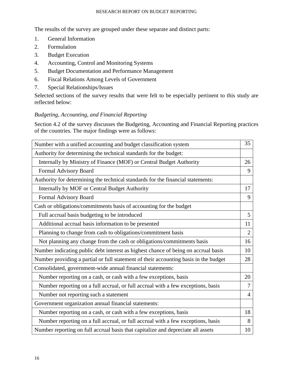The results of the survey are grouped under these separate and distinct parts:

- 1. General Information
- 2. Formulation
- 3. Budget Execution
- 4. Accounting, Control and Monitoring Systems
- 5. Budget Documentation and Performance Management
- 6. Fiscal Relations Among Levels of Government
- 7. Special Relationships/Issues

Selected sections of the survey results that were felt to be especially pertinent to this study are reflected below:

#### *Budgeting, Accounting, and Financial Reporting*

Section 4.2 of the survey discusses the Budgeting, Accounting and Financial Reporting practices of the countries. The major findings were as follows:

| Number with a unified accounting and budget classification system                    | 35             |
|--------------------------------------------------------------------------------------|----------------|
| Authority for determining the technical standards for the budget:                    |                |
| Internally by Ministry of Finance (MOF) or Central Budget Authority                  | 26             |
| Formal Advisory Board                                                                | 9              |
| Authority for determining the technical standards for the financial statements:      |                |
| Internally by MOF or Central Budget Authority                                        | 17             |
| Formal Advisory Board                                                                | 9              |
| Cash or obligations/commitments basis of accounting for the budget                   |                |
| Full accrual basis budgeting to be introduced                                        | 5              |
| Additional accrual basis information to be presented                                 | 11             |
| Planning to change from cash to obligations/commitment basis                         | $\overline{2}$ |
| Not planning any change from the cash or obligations/commitments basis               | 16             |
| Number indicating public debt interest as highest chance of being on accrual basis   | 10             |
| Number providing a partial or full statement of their accounting basis in the budget | 28             |
| Consolidated, government-wide annual financial statements:                           |                |
| Number reporting on a cash, or cash with a few exceptions, basis                     | 20             |
| Number reporting on a full accrual, or full accrual with a few exceptions, basis     | 7              |
| Number not reporting such a statement                                                | $\overline{4}$ |
| Government organization annual financial statements:                                 |                |
| Number reporting on a cash, or cash with a few exceptions, basis                     | 18             |
| Number reporting on a full accrual, or full accrual with a few exceptions, basis     | 8              |
| Number reporting on full accrual basis that capitalize and depreciate all assets     | 10             |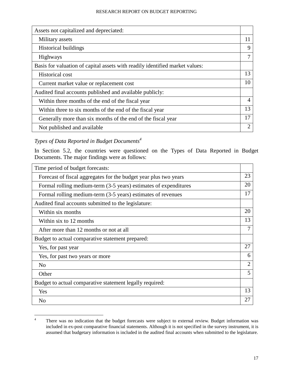| Assets not capitalized and depreciated:                                      |    |
|------------------------------------------------------------------------------|----|
| Military assets                                                              | 11 |
| <b>Historical buildings</b>                                                  | 9  |
| <b>Highways</b>                                                              | 7  |
| Basis for valuation of capital assets with readily identified market values: |    |
| <b>Historical cost</b>                                                       | 13 |
| Current market value or replacement cost                                     | 10 |
| Audited final accounts published and available publicly:                     |    |
| Within three months of the end of the fiscal year                            | 4  |
| Within three to six months of the end of the fiscal year                     | 13 |
| Generally more than six months of the end of the fiscal year                 | 17 |
| Not published and available                                                  | 2  |

## *Types of Data Reported in Budget Documents4*

In Section 5.2, the countries were questioned on the Types of Data Reported in Budget Documents. The major findings were as follows:

| Time period of budget forecasts:                                 |                |
|------------------------------------------------------------------|----------------|
| Forecast of fiscal aggregates for the budget year plus two years | 23             |
| Formal rolling medium-term (3-5 years) estimates of expenditures | 20             |
| Formal rolling medium-term (3-5 years) estimates of revenues     | 17             |
| Audited final accounts submitted to the legislature:             |                |
| Within six months                                                | 20             |
| Within six to 12 months                                          | 13             |
| After more than 12 months or not at all                          | $\overline{7}$ |
| Budget to actual comparative statement prepared:                 |                |
| Yes, for past year                                               | 27             |
| Yes, for past two years or more                                  | 6              |
| N <sub>0</sub>                                                   | $\overline{2}$ |
| Other                                                            | 5              |
| Budget to actual comparative statement legally required:         |                |
| Yes                                                              | 13             |
| N <sub>0</sub>                                                   | 27             |

 $\frac{1}{4}$ <sup>4</sup> There was no indication that the budget forecasts were subject to external review. Budget information was included in ex-post comparative financial statements. Although it is not specified in the survey instrument, it is assumed that budgetary information is included in the audited final accounts when submitted to the legislature.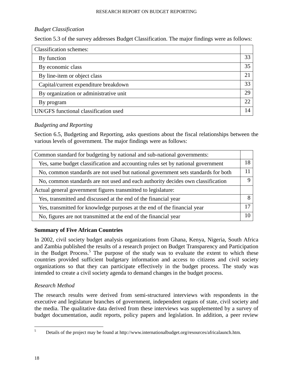#### *Budget Classification*

Section 5.3 of the survey addresses Budget Classification. The major findings were as follows:

| <b>Classification schemes:</b>         |             |
|----------------------------------------|-------------|
| By function                            | 33          |
| By economic class                      | 35          |
| By line-item or object class           | $2^{\circ}$ |
| Capital/current expenditure breakdown  | 33          |
| By organization or administrative unit | 29          |
| By program                             | 22          |
| UN/GFS functional classification used  |             |

#### *Budgeting and Reporting*

Section 6.5, Budgeting and Reporting, asks questions about the fiscal relationships between the various levels of government. The major findings were as follows:

| Common standard for budgeting by national and sub-national governments:           |          |
|-----------------------------------------------------------------------------------|----------|
| Yes, same budget classification and accounting rules set by national government   | 18       |
| No, common standards are not used but national government sets standards for both |          |
| No, common standards are not used and each authority decides own classification   | $\Omega$ |
| Actual general government figures transmitted to legislature:                     |          |
| Yes, transmitted and discussed at the end of the financial year                   | 8        |
| Yes, transmitted for knowledge purposes at the end of the financial year          | 17       |
| No, figures are not transmitted at the end of the financial year                  | 10       |

#### **Summary of Five African Countries**

In 2002, civil society budget analysis organizations from Ghana, Kenya, Nigeria, South Africa and Zambia published the results of a research project on Budget Transparency and Participation in the Budget Process.<sup>5</sup> The purpose of the study was to evaluate the extent to which these countries provided sufficient budgetary information and access to citizens and civil society organizations so that they can participate effectively in the budget process. The study was intended to create a civil society agenda to demand changes in the budget process.

#### *Research Method*

The research results were derived from semi-structured interviews with respondents in the executive and legislature branches of government, independent organs of state, civil society and the media. The qualitative data derived from these interviews was supplemented by a survey of budget documentation, audit reports, policy papers and legislation. In addition, a peer review

 <sup>5</sup> <sup>5</sup> Details of the project may be found at http://www.internationalbudget.org/resources/africalaunch.htm.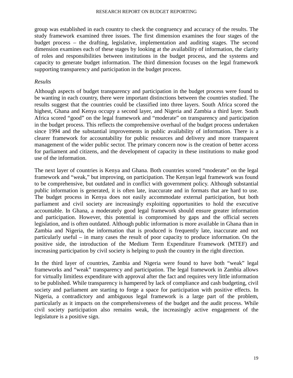group was established in each country to check the congruency and accuracy of the results. The study framework examined three issues. The first dimension examines the four stages of the budget process – the drafting, legislative, implementation and auditing stages. The second dimension examines each of these stages by looking at the availability of information, the clarity of roles and responsibilities between institutions in the budget process, and the systems and capacity to generate budget information. The third dimension focuses on the legal framework supporting transparency and participation in the budget process.

#### *Results*

Although aspects of budget transparency and participation in the budget process were found to be wanting in each country, there were important distinctions between the countries studied. The results suggest that the countries could be classified into three layers. South Africa scored the highest, Ghana and Kenya occupy a second layer, and Nigeria and Zambia a third layer. South Africa scored "good" on the legal framework and "moderate" on transparency and participation in the budget process. This reflects the comprehensive overhaul of the budget process undertaken since 1994 and the substantial improvements in public availability of information. There is a clearer framework for accountability for public resources and delivery and more transparent management of the wider public sector. The primary concern now is the creation of better access for parliament and citizens, and the development of capacity in these institutions to make good use of the information.

The next layer of countries is Kenya and Ghana. Both countries scored "moderate" on the legal framework and "weak," but improving, on participation. The Kenyan legal framework was found to be comprehensive, but outdated and in conflict with government policy. Although substantial public information is generated, it is often late, inaccurate and in formats that are hard to use. The budget process in Kenya does not easily accommodate external participation, but both parliament and civil society are increasingly exploiting opportunities to hold the executive accountable. In Ghana, a moderately good legal framework should ensure greater information and participation. However, this potential is compromised by gaps and the official secrets legislation, and is often outdated. Although public information is more available in Ghana than in Zambia and Nigeria, the information that is produced is frequently late, inaccurate and not particularly useful – in many cases the result of poor capacity to produce information. On the positive side, the introduction of the Medium Term Expenditure Framework (MTEF) and increasing participation by civil society is helping to push the country in the right direction.

In the third layer of countries, Zambia and Nigeria were found to have both "weak" legal frameworks and "weak" transparency and participation. The legal framework in Zambia allows for virtually limitless expenditure with approval after the fact and requires very little information to be published. While transparency is hampered by lack of compliance and cash budgeting, civil society and parliament are starting to forge a space for participation with positive effects. In Nigeria, a contradictory and ambiguous legal framework is a large part of the problem, particularly as it impacts on the comprehensiveness of the budget and the audit process. While civil society participation also remains weak, the increasingly active engagement of the legislature is a positive sign.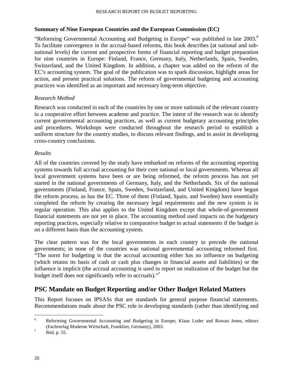#### **Summary of Nine European Countries and the European Commission (EC)**

"Reforming Governmental Accounting and Budgeting in Europe" was published in late 2003.<sup>6</sup> To facilitate convergence in the accrual-based reforms, this book describes (at national and subnational levels) the current and prospective forms of financial reporting and budget preparation for nine countries in Europe: Finland, France, Germany, Italy, Netherlands, Spain, Sweden, Switzerland, and the United Kingdom. In addition, a chapter was added on the reform of the EC's accounting system. The goal of the publication was to spark discussion, highlight areas for action, and present practical solutions. The reform of governmental budgeting and accounting practices was identified as an important and necessary long-term objective.

#### *Research Method*

Research was conducted in each of the countries by one or more nationals of the relevant country in a cooperative effort between academe and practice. The intent of the research was to identify current governmental accounting practices, as well as current budgetary accounting principles and procedures. Workshops were conducted throughout the research period to establish a uniform structure for the country studies, to discuss relevant findings, and to assist in developing cross-country conclusions.

#### *Results*

All of the countries covered by the study have embarked on reforms of the accounting reporting systems towards full accrual accounting for their core national or local governments. Whereas all local government systems have been or are being reformed, the reform process has not yet started in the national governments of Germany, Italy, and the Netherlands. Six of the national governments (Finland, France, Spain, Sweden, Switzerland, and United Kingdom) have begun the reform process, as has the EC. Three of them (Finland, Spain, and Sweden) have essentially completed the reform by creating the necessary legal requirements and the new system is in regular operation. This also applies to the United Kingdom except that whole-of-government financial statements are not yet in place. The accounting method used impacts on the budgetary reporting practices, especially relative to comparative budget to actual statements if the budget is on a different basis than the accounting system.

The clear pattern was for the local governments in each country to precede the national governments; in none of the countries was national governmental accounting reformed first. "The norm for budgeting is that the accrual accounting either has no influence on budgeting (which retains its basis of cash or cash plus changes in financial assets and liabilities) or the influence is implicit (the accrual accounting is used to report on realization of the budget but the budget itself does not significantly refer to accruals)."

## **PSC Mandate on Budget Reporting and/or Other Budget Related Matters**

This Report focuses on IPSASs that are standards for general purpose financial statements. Recommendations made about the PSC role in developing standards (rather than identifying and

 <sup>6</sup> <sup>6</sup> Reforming Governmental Accounting and Budgeting in Europe; Klaus Luder and Rowan Jones, editors (Fachverlag Moderne Wirtschaft, Frankfurt, Germany), 2003. 7

Ibid, p. 55.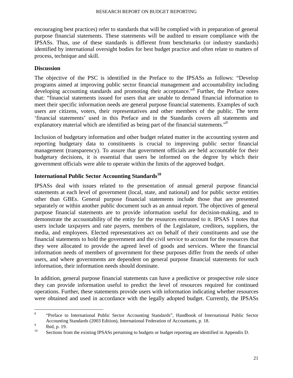encouraging best practices) refer to standards that will be complied with in preparation of general purpose financial statements. These statements will be audited to ensure compliance with the IPSASs. Thus, use of these standards is different from benchmarks (or industry standards) identified by international oversight bodies for best budget practice and often relate to matters of process, technique and skill.

#### **Discussion**

The objective of the PSC is identified in the Preface to the IPSASs as follows: "Develop programs aimed at improving public sector financial management and accountability including developing accounting standards and promoting their acceptance."<sup>8</sup> Further, the Preface notes that: "financial statements issued for users that are unable to demand financial information to meet their specific information needs are general purpose financial statements. Examples of such users are citizens, voters, their representatives and other members of the public. The term 'financial statements' used in this Preface and in the Standards covers all statements and explanatory material which are identified as being part of the financial statements."<sup>9</sup>

Inclusion of budgetary information and other budget related matter in the accounting system and reporting budgetary data to constituents is crucial to improving public sector financial management (transparency). To assure that government officials are held accountable for their budgetary decisions, it is essential that users be informed on the degree by which their government officials were able to operate within the limits of the approved budget.

## **International Public Sector Accounting Standards<sup>10</sup>**

IPSASs deal with issues related to the presentation of annual general purpose financial statements at each level of government (local, state, and national) and for public sector entities other than GBEs. General purpose financial statements include those that are presented separately or within another public document such as an annual report. The objectives of general purpose financial statements are to provide information useful for decision-making, and to demonstrate the accountability of the entity for the resources entrusted to it. IPSAS 1 notes that users include taxpayers and rate payers, members of the Legislature, creditors, suppliers, the media, and employees. Elected representatives act on behalf of their constituents and use the financial statements to hold the government and the civil service to account for the resources that they were allocated to provide the agreed level of goods and services. Where the financial information needs of members of government for these purposes differ from the needs of other users, and where governments are dependent on general purpose financial statements for such information, their information needs should dominate.

In addition, general purpose financial statements can have a predictive or prospective role since they can provide information useful to predict the level of resources required for continued operations. Further, these statements provide users with information indicating whether resources were obtained and used in accordance with the legally adopted budget. Currently, the IPSASs

 <sup>8</sup> <sup>8</sup> "Preface to International Public Sector Accounting Standards", Handbook of International Public Sector Accounting Standards (2003 Edition), International Federation of Accountants, p. 18.

 $\begin{array}{cc}\n\frac{9}{10} & \text{Ibid, p. 19.}\n\end{array}$ 

Sections from the existing IPSASs pertaining to budgets or budget reporting are identified in Appendix D.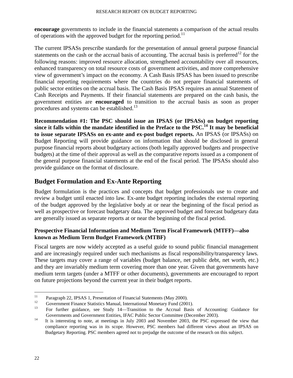**encourage** governments to include in the financial statements a comparison of the actual results of operations with the approved budget for the reporting period.<sup>11</sup>

The current IPSASs prescribe standards for the presentation of annual general purpose financial statements on the cash or the accrual basis of accounting. The accrual basis is preferred<sup>12</sup> for the following reasons: improved resource allocation, strengthened accountability over all resources, enhanced transparency on total resource costs of government activities, and more comprehensive view of government's impact on the economy. A Cash Basis IPSAS has been issued to prescribe financial reporting requirements where the countries do not prepare financial statements of public sector entities on the accrual basis. The Cash Basis IPSAS requires an annual Statement of Cash Receipts and Payments. If their financial statements are prepared on the cash basis, the government entities are **encouraged** to transition to the accrual basis as soon as proper procedures and systems can be established.<sup>13</sup>

**Recommendation #1: The PSC should issue an IPSAS (or IPSASs) on budget reporting since it falls within the mandate identified in the Preface to the PSC.14 It may be beneficial to issue separate IPSASs on ex-ante and ex-post budget reports.** An IPSAS (or IPSASs) on Budget Reporting will provide guidance on information that should be disclosed in general purpose financial reports about budgetary actions (both legally approved budgets and prospective budgets) at the time of their approval as well as the comparative reports issued as a component of the general purpose financial statements at the end of the fiscal period. The IPSASs should also provide guidance on the format of disclosure.

## **Budget Formulation and Ex-Ante Reporting**

Budget formulation is the practices and concepts that budget professionals use to create and review a budget until enacted into law. Ex-ante budget reporting includes the external reporting of the budget approved by the legislative body at or near the beginning of the fiscal period as well as prospective or forecast budgetary data. The approved budget and forecast budgetary data are generally issued as separate reports at or near the beginning of the fiscal period.

#### **Prospective Financial Information and Medium Term Fiscal Framework (MTFF)—also known as Medium Term Budget Framework (MTBF)**

Fiscal targets are now widely accepted as a useful guide to sound public financial management and are increasingly required under such mechanisms as fiscal responsibility/transparency laws. These targets may cover a range of variables (budget balance, net public debt, net worth, etc.) and they are invariably medium term covering more than one year. Given that governments have medium term targets (under a MTFF or other documents), governments are encouraged to report on future projections beyond the current year in their budget reports.

 $11$  Paragraph 22, IPSAS 1, Presentation of Financial Statements (May 2000).

 $12$  Government Finance Statistics Manual, International Monetary Fund (2001).

<sup>13</sup> For further guidance, see Study 14—Transition to the Accrual Basis of Accounting: Guidance for

Governments and Government Entities, IFAC Public Sector Committee (December 2003).<br><sup>14</sup> It is interesting to note, at meetings in July 2003 and November 2003, the PSC expressed the view that compliance reporting was in its scope. However, PSC members had different views about an IPSAS on Budgetary Reporting. PSC members agreed not to prejudge the outcome of the research on this subject.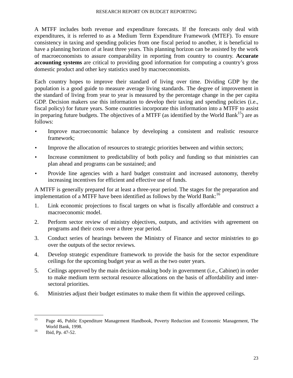A MTFF includes both revenue and expenditure forecasts. If the forecasts only deal with expenditures, it is referred to as a Medium Term Expenditure Framework (MTEF). To ensure consistency in taxing and spending policies from one fiscal period to another, it is beneficial to have a planning horizon of at least three years. This planning horizon can be assisted by the work of macroeconomists to assure comparability in reporting from country to country. **Accurate accounting systems** are critical to providing good information for computing a country's gross domestic product and other key statistics used by macroeconomists.

Each country hopes to improve their standard of living over time. Dividing GDP by the population is a good guide to measure average living standards. The degree of improvement in the standard of living from year to year is measured by the percentage change in the per capita GDP. Decision makers use this information to develop their taxing and spending policies (i.e., fiscal policy) for future years. Some countries incorporate this information into a MTFF to assist in preparing future budgets. The objectives of a MTFF (as identified by the World Bank<sup>15</sup>) are as follows:

- Improve macroeconomic balance by developing a consistent and realistic resource framework;
- Improve the allocation of resources to strategic priorities between and within sectors;
- Increase commitment to predictability of both policy and funding so that ministries can plan ahead and programs can be sustained; and
- Provide line agencies with a hard budget constraint and increased autonomy, thereby increasing incentives for efficient and effective use of funds.

A MTFF is generally prepared for at least a three-year period. The stages for the preparation and implementation of a MTFF have been identified as follows by the World Bank:<sup>16</sup>

- 1. Link economic projections to fiscal targets on what is fiscally affordable and construct a macroeconomic model.
- 2. Perform sector review of ministry objectives, outputs, and activities with agreement on programs and their costs over a three year period.
- 3. Conduct series of hearings between the Ministry of Finance and sector ministries to go over the outputs of the sector reviews.
- 4. Develop strategic expenditure framework to provide the basis for the sector expenditure ceilings for the upcoming budget year as well as the two outer years.
- 5. Ceilings approved by the main decision-making body in government (i.e., Cabinet) in order to make medium term sectoral resource allocations on the basis of affordability and intersectoral priorities.
- 6. Ministries adjust their budget estimates to make them fit within the approved ceilings.

<sup>&</sup>lt;sup>15</sup> Page 46, Public Expenditure Management Handbook, Poverty Reduction and Economic Management, The World Bank, 1998.<br>
16 Ibid, Pp. 47-52.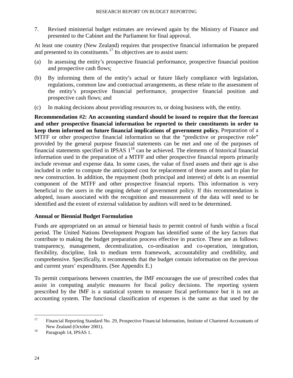7. Revised ministerial budget estimates are reviewed again by the Ministry of Finance and presented to the Cabinet and the Parliament for final approval.

At least one country (New Zealand) requires that prospective financial information be prepared and presented to its constituents.<sup>17</sup> Its objectives are to assist users:

- (a) In assessing the entity's prospective financial performance, prospective financial position and prospective cash flows;
- (b) By informing them of the entity's actual or future likely compliance with legislation, regulations, common law and contractual arrangements, as these relate to the assessment of the entity's prospective financial performance, prospective financial position and prospective cash flows; and
- (c) In making decisions about providing resources to, or doing business with, the entity.

**Recommendation #2: An accounting standard should be issued to require that the forecast and other prospective financial information be reported to their constituents in order to keep them informed on future financial implications of government policy.** Preparation of a MTFF or other prospective financial information so that the "predictive or prospective role" provided by the general purpose financial statements can be met and one of the purposes of financial statements specified in IPSAS  $1^{18}$  can be achieved. The elements of historical financial information used in the preparation of a MTFF and other prospective financial reports primarily include revenue and expense data. In some cases, the value of fixed assets and their age is also included in order to compute the anticipated cost for replacement of those assets and to plan for new construction. In addition, the repayment (both principal and interest) of debt is an essential component of the MTFF and other prospective financial reports. This information is very beneficial to the users in the ongoing debate of government policy. If this recommendation is adopted, issues associated with the recognition and measurement of the data will need to be identified and the extent of external validation by auditors will need to be determined.

#### **Annual or Biennial Budget Formulation**

Funds are appropriated on an annual or biennial basis to permit control of funds within a fiscal period. The United Nations Development Program has identified some of the key factors that contribute to making the budget preparation process effective in practice. These are as follows: transparency, management, decentralization, co-ordination and co-operation, integration, flexibility, discipline, link to medium term framework, accountability and credibility, and comprehensive. Specifically, it recommends that the budget contain information on the previous and current years' expenditures. (See Appendix E.)

To permit comparisons between countries, the IMF encourages the use of prescribed codes that assist in computing analytic measures for fiscal policy decisions. The reporting system prescribed by the IMF is a statistical system to measure fiscal performance but it is not an accounting system. The functional classification of expenses is the same as that used by the

<sup>&</sup>lt;sup>17</sup> Financial Reporting Standard No. 29, Prospective Financial Information, Institute of Chartered Accountants of New Zealand (October 2001).<br><sup>18</sup> Paragraph 14, IPSAS 1.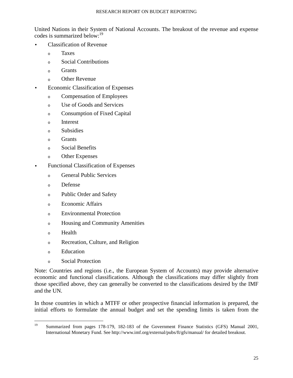United Nations in their System of National Accounts. The breakout of the revenue and expense codes is summarized below:<sup>19</sup>

- Classification of Revenue
	- <sup>o</sup>Taxes
	- <sup>o</sup>Social Contributions
	- <sub>o</sub> Grants
	- <sup>o</sup>Other Revenue
- Economic Classification of Expenses
	- <sup>o</sup>Compensation of Employees
	- <sup>o</sup>Use of Goods and Services
	- <sup>o</sup>Consumption of Fixed Capital
	- o Interest
	- o Subsidies
	- o Grants
	- o Social Benefits
	- <sup>o</sup>Other Expenses
- Functional Classification of Expenses
	- o General Public Services
	- o Defense
	- o Public Order and Safety
	- <sup>o</sup>Economic Affairs
	- <sup>o</sup>Environmental Protection
	- o Housing and Community Amenities
	- $\circ$  Health
	- o Recreation, Culture, and Religion
	- o Education
	- o Social Protection

Note: Countries and regions (i.e., the European System of Accounts) may provide alternative economic and functional classifications. Although the classifications may differ slightly from those specified above, they can generally be converted to the classifications desired by the IMF and the UN.

In those countries in which a MTFF or other prospective financial information is prepared, the initial efforts to formulate the annual budget and set the spending limits is taken from the

<sup>&</sup>lt;sup>19</sup> Summarized from pages 178-179, 182-183 of the Government Finance Statistics (GFS) Manual 2001, International Monetary Fund. See http://www.imf.org/external/pubs/ft/gfs/manual/ for detailed breakout.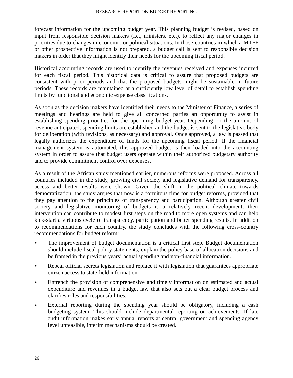forecast information for the upcoming budget year. This planning budget is revised, based on input from responsible decision makers (i.e., ministers, etc.), to reflect any major changes in priorities due to changes in economic or political situations. In those countries in which a MTFF or other prospective information is not prepared, a budget call is sent to responsible decision makers in order that they might identify their needs for the upcoming fiscal period.

Historical accounting records are used to identify the revenues received and expenses incurred for each fiscal period. This historical data is critical to assure that proposed budgets are consistent with prior periods and that the proposed budgets might be sustainable in future periods. These records are maintained at a sufficiently low level of detail to establish spending limits by functional and economic expense classifications.

As soon as the decision makers have identified their needs to the Minister of Finance, a series of meetings and hearings are held to give all concerned parties an opportunity to assist in establishing spending priorities for the upcoming budget year. Depending on the amount of revenue anticipated, spending limits are established and the budget is sent to the legislative body for deliberation (with revisions, as necessary) and approval. Once approved, a law is passed that legally authorizes the expenditure of funds for the upcoming fiscal period. If the financial management system is automated, this approved budget is then loaded into the accounting system in order to assure that budget users operate within their authorized budgetary authority and to provide commitment control over expenses.

As a result of the African study mentioned earlier, numerous reforms were proposed. Across all countries included in the study, growing civil society and legislative demand for transparency, access and better results were shown. Given the shift in the political climate towards democratization, the study argues that now is a fortuitous time for budget reforms, provided that they pay attention to the principles of transparency and participation. Although greater civil society and legislative monitoring of budgets is a relatively recent development, their intervention can contribute to modest first steps on the road to more open systems and can help kick-start a virtuous cycle of transparency, participation and better spending results. In addition to recommendations for each country, the study concludes with the following cross-country recommendations for budget reform:

- The improvement of budget documentation is a critical first step. Budget documentation should include fiscal policy statements, explain the policy base of allocation decisions and be framed in the previous years' actual spending and non-financial information.
- Repeal official secrets legislation and replace it with legislation that guarantees appropriate citizen access to state-held information.
- Entrench the provision of comprehensive and timely information on estimated and actual expenditure and revenues in a budget law that also sets out a clear budget process and clarifies roles and responsibilities.
- External reporting during the spending year should be obligatory, including a cash budgeting system. This should include departmental reporting on achievements. If late audit information makes early annual reports at central government and spending agency level unfeasible, interim mechanisms should be created.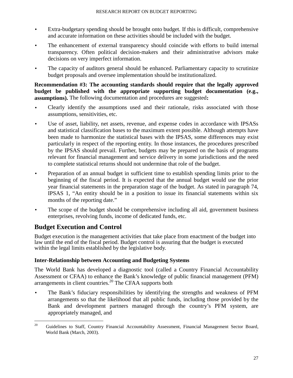- Extra-budgetary spending should be brought onto budget. If this is difficult, comprehensive and accurate information on these activities should be included with the budget.
- The enhancement of external transparency should coincide with efforts to build internal transparency. Often political decision-makers and their administrative advisors make decisions on very imperfect information.
- The capacity of auditors general should be enhanced. Parliamentary capacity to scrutinize budget proposals and oversee implementation should be institutionalized.

#### **Recommendation #3: The accounting standards should require that the legally approved budget be published with the appropriate supporting budget documentation (e.g., assumptions).** The following documentation and procedures are suggested**:**

- Clearly identify the assumptions used and their rationale, risks associated with those assumptions, sensitivities, etc.
- Use of asset, liability, net assets, revenue, and expense codes in accordance with IPSASs and statistical classification bases to the maximum extent possible. Although attempts have been made to harmonize the statistical bases with the IPSAS, some differences may exist particularly in respect of the reporting entity. In those instances, the procedures prescribed by the IPSAS should prevail. Further, budgets may be prepared on the basis of programs relevant for financial management and service delivery in some jurisdictions and the need to complete statistical returns should not undermine that role of the budget.
- Preparation of an annual budget in sufficient time to establish spending limits prior to the beginning of the fiscal period. It is expected that the annual budget would use the prior year financial statements in the preparation stage of the budget. As stated in paragraph 74, IPSAS 1, "An entity should be in a position to issue its financial statements within six months of the reporting date."
- The scope of the budget should be comprehensive including all aid, government business enterprises, revolving funds, income of dedicated funds, etc.

## **Budget Execution and Control**

Budget execution is the management activities that take place from enactment of the budget into law until the end of the fiscal period. Budget control is assuring that the budget is executed within the legal limits established by the legislative body.

## **Inter-Relationship between Accounting and Budgeting Systems**

The World Bank has developed a diagnostic tool (called a Country Financial Accountability Assessment or CFAA) to enhance the Bank's knowledge of public financial management (PFM) arrangements in client countries.<sup>20</sup> The CFAA supports both

• The Bank's fiduciary responsibilities by identifying the strengths and weakness of PFM arrangements so that the likelihood that all public funds, including those provided by the Bank and development partners managed through the country's PFM system, are appropriately managed, and

<sup>&</sup>lt;sup>20</sup> Guidelines to Staff, Country Financial Accountability Assessment, Financial Management Sector Board, World Bank (March, 2003).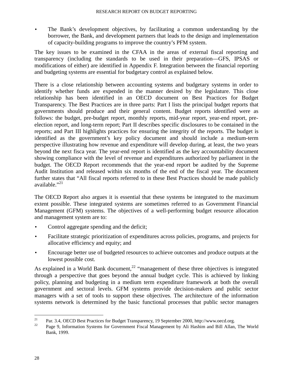The Bank's development objectives, by facilitating a common understanding by the borrower, the Bank, and development partners that leads to the design and implementation of capacity-building programs to improve the country's PFM system.

The key issues to be examined in the CFAA in the areas of external fiscal reporting and transparency (including the standards to be used in their preparation—GFS, IPSAS or modifications of either) are identified in Appendix F. Integration between the financial reporting and budgeting systems are essential for budgetary control as explained below.

There is a close relationship between accounting systems and budgetary systems in order to identify whether funds are expended in the manner desired by the legislature. This close relationship has been identified in an OECD document on Best Practices for Budget Transparency. The Best Practices are in three parts: Part I lists the principal budget reports that governments should produce and their general content. Budget reports identified were as follows: the budget, pre-budget report, monthly reports, mid-year report, year-end report, preelection report, and long-term report; Part II describes specific disclosures to be contained in the reports; and Part III highlights practices for ensuring the integrity of the reports. The budget is identified as the government's key policy document and should include a medium-term perspective illustrating how revenue and expenditure will develop during, at least, the two years beyond the next fisca year. The year-end report is identified as the key accountability document showing compliance with the level of revenue and expenditures authorized by parliament in the budget. The OECD Report recommends that the year-end report be audited by the Supreme Audit Institution and released within six months of the end of the fiscal year. The document further states that "All fiscal reports referred to in these Best Practices should be made publicly available $\cdot$ <sup>21</sup>

The OECD Report also argues it is essential that these systems be integrated to the maximum extent possible. These integrated systems are sometimes referred to as Government Financial Management (GFM) systems. The objectives of a well-performing budget resource allocation and management system are to:

- Control aggregate spending and the deficit;
- Facilitate strategic prioritization of expenditures across policies, programs, and projects for allocative efficiency and equity; and
- Encourage better use of budgeted resources to achieve outcomes and produce outputs at the lowest possible cost.

As explained in a World Bank document,<sup>22</sup> "management of these three objectives is integrated through a perspective that goes beyond the annual budget cycle. This is achieved by linking policy, planning and budgeting in a medium term expenditure framework at both the overall government and sectoral levels. GFM systems provide decision-makers and public sector managers with a set of tools to support these objectives. The architecture of the information systems network is determined by the basic functional processes that public sector managers

<sup>&</sup>lt;sup>21</sup> Par. 3.4, OECD Best Practices for Budget Transparency, 19 September 2000, http://www.oecd.org.<br><sup>22</sup> Page 0, Information Systems for Government Fiscal Management by Ali Hackim and Pill Allan.

Page 9, Information Systems for Government Fiscal Management by Ali Hashim and Bill Allan, The World Bank, 1999.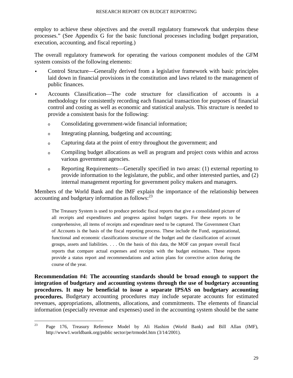employ to achieve these objectives and the overall regulatory framework that underpins these processes." (See Appendix G for the basic functional processes including budget preparation, execution, accounting, and fiscal reporting.)

The overall regulatory framework for operating the various component modules of the GFM system consists of the following elements:

- Control Structure—Generally derived from a legislative framework with basic principles laid down in financial provisions in the constitution and laws related to the management of public finances.
- Accounts Classification—The code structure for classification of accounts is a methodology for consistently recording each financial transaction for purposes of financial control and costing as well as economic and statistical analysis. This structure is needed to provide a consistent basis for the following:
	- <sup>o</sup>Consolidating government-wide financial information;
	- o Integrating planning, budgeting and accounting;
	- <sup>o</sup>Capturing data at the point of entry throughout the government; and
	- <sup>o</sup>Compiling budget allocations as well as program and project costs within and across various government agencies.
	- <sup>o</sup>Reporting Requirements—Generally specified in two areas: (1) external reporting to provide information to the legislature, the public, and other interested parties, and (2) internal management reporting for government policy makers and managers.

Members of the World Bank and the IMF explain the importance of the relationship between accounting and budgetary information as follows: $^{23}$ 

The Treasury System is used to produce periodic fiscal reports that give a consolidated picture of all receipts and expenditures and progress against budget targets. For these reports to be comprehensive, all items of receipts and expenditure need to be captured. The Government Chart of Accounts is the basis of the fiscal reporting process. These include the Fund, organizational, functional and economic classifications structure of the budget and the classification of account groups, assets and liabilities. . . . On the basis of this data, the MOF can prepare overall fiscal reports that compare actual expenses and receipts with the budget estimates. These reports provide a status report and recommendations and action plans for corrective action during the course of the year.

**Recommendation #4: The accounting standards should be broad enough to support the integration of budgetary and accounting systems through the use of budgetary accounting procedures. It may be beneficial to issue a separate IPSAS on budgetary accounting procedures.** Budgetary accounting procedures may include separate accounts for estimated revenues, appropriations, allotments, allocations, and commitments. The elements of financial information (especially revenue and expenses) used in the accounting system should be the same

 $23$  Page 176, Treasury Reference Model by Ali Hashim (World Bank) and Bill Allan (IMF), http://www1.worldbank.org/public sector/pe/trmodel.htm (3/14/2001).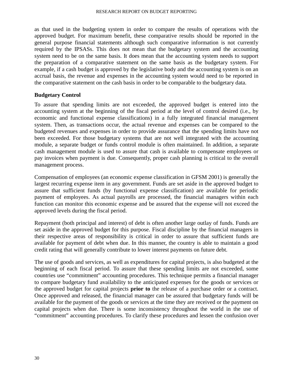as that used in the budgeting system in order to compare the results of operations with the approved budget. For maximum benefit, these comparative results should be reported in the general purpose financial statements although such comparative information is not currently required by the IPSASs. This does not mean that the budgetary system and the accounting system need to be on the same basis. It does mean that the accounting system needs to support the preparation of a comparative statement on the same basis as the budgetary system. For example, if a cash budget is approved by the legislative body and the accounting system is on an accrual basis, the revenue and expenses in the accounting system would need to be reported in the comparative statement on the cash basis in order to be comparable to the budgetary data.

#### **Budgetary Control**

To assure that spending limits are not exceeded, the approved budget is entered into the accounting system at the beginning of the fiscal period at the level of control desired (i.e., by economic and functional expense classifications) in a fully integrated financial management system. Then, as transactions occur, the actual revenue and expenses can be compared to the budgeted revenues and expenses in order to provide assurance that the spending limits have not been exceeded. For those budgetary systems that are not well integrated with the accounting module, a separate budget or funds control module is often maintained. In addition, a separate cash management module is used to assure that cash is available to compensate employees or pay invoices when payment is due. Consequently, proper cash planning is critical to the overall management process.

Compensation of employees (an economic expense classification in GFSM 2001) is generally the largest recurring expense item in any government. Funds are set aside in the approved budget to assure that sufficient funds (by functional expense classification) are available for periodic payment of employees. As actual payrolls are processed, the financial managers within each function can monitor this economic expense and be assured that the expense will not exceed the approved levels during the fiscal period.

Repayment (both principal and interest) of debt is often another large outlay of funds. Funds are set aside in the approved budget for this purpose. Fiscal discipline by the financial managers in their respective areas of responsibility is critical in order to assure that sufficient funds are available for payment of debt when due. In this manner, the country is able to maintain a good credit rating that will generally contribute to lower interest payments on future debt.

The use of goods and services, as well as expenditures for capital projects, is also budgeted at the beginning of each fiscal period. To assure that these spending limits are not exceeded, some countries use "commitment" accounting procedures. This technique permits a financial manager to compare budgetary fund availability to the anticipated expenses for the goods or services or the approved budget for capital projects **prior to** the release of a purchase order or a contract. Once approved and released, the financial manager can be assured that budgetary funds will be available for the payment of the goods or services at the time they are received or the payment on capital projects when due. There is some inconsistency throughout the world in the use of "commitment" accounting procedures. To clarify these procedures and lessen the confusion over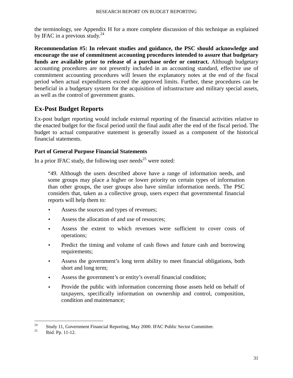the terminology, see Appendix H for a more complete discussion of this technique as explained by IFAC in a previous study. $^{24}$ 

**Recommendation #5: In relevant studies and guidance, the PSC should acknowledge and encourage the use of commitment accounting procedures intended to assure that budgetary funds are available prior to release of a purchase order or contract.** Although budgetary accounting procedures are not presently included in an accounting standard, effective use of commitment accounting procedures will lessen the explanatory notes at the end of the fiscal period when actual expenditures exceed the approved limits. Further, these procedures can be beneficial in a budgetary system for the acquisition of infrastructure and military special assets, as well as the control of government grants.

# **Ex-Post Budget Reports**

Ex-post budget reporting would include external reporting of the financial activities relative to the enacted budget for the fiscal period until the final audit after the end of the fiscal period. The budget to actual comparative statement is generally issued as a component of the historical financial statements.

## **Part of General Purpose Financial Statements**

In a prior IFAC study, the following user needs<sup>25</sup> were noted:

"49. Although the users described above have a range of information needs, and some groups may place a higher or lower priority on certain types of information than other groups, the user groups also have similar information needs. The PSC considers that, taken as a collective group, users expect that governmental financial reports will help them to:

- Assess the sources and types of revenues;
- Assess the allocation of and use of resources:
- Assess the extent to which revenues were sufficient to cover costs of operations;
- Predict the timing and volume of cash flows and future cash and borrowing requirements;
- Assess the government's long term ability to meet financial obligations, both short and long term;
- Assess the government's or entity's overall financial condition;
- Provide the public with information concerning those assets held on behalf of taxpayers, specifically information on ownership and control, composition, condition and maintenance;

<sup>&</sup>lt;sup>24</sup> Study 11, Government Financial Reporting, May 2000. IFAC Public Sector Committee.

Ibid. Pp. 11-12.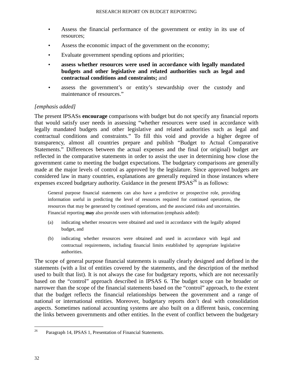- Assess the financial performance of the government or entity in its use of resources;
- Assess the economic impact of the government on the economy;
- Evaluate government spending options and priorities;
- **assess whether resources were used in accordance with legally mandated budgets and other legislative and related authorities such as legal and contractual conditions and constraints;** and
- assess the government's or entity's stewardship over the custody and maintenance of resources."

## *[emphasis added]*

The present IPSASs **encourage** comparisons with budget but do not specify any financial reports that would satisfy user needs in assessing "whether resources were used in accordance with legally mandated budgets and other legislative and related authorities such as legal and contractual conditions and constraints." To fill this void and provide a higher degree of transparency, almost all countries prepare and publish "Budget to Actual Comparative Statements." Differences between the actual expenses and the final (or original) budget are reflected in the comparative statements in order to assist the user in determining how close the government came to meeting the budget expectations. The budgetary comparisons are generally made at the major levels of control as approved by the legislature. Since approved budgets are considered law in many countries, explanations are generally required in those instances where expenses exceed budgetary authority. Guidance in the present  $IPSAS<sup>26</sup>$  is as follows:

General purpose financial statements can also have a predictive or prospective role, providing information useful in predicting the level of resources required for continued operations, the resources that may be generated by continued operations, and the associated risks and uncertainties. Financial reporting **may** also provide users with information (emphasis added):

- (a) indicating whether resources were obtained and used in accordance with the legally adopted budget, and
- (b) indicating whether resources were obtained and used in accordance with legal and contractual requirements, including financial limits established by appropriate legislative authorities.

The scope of general purpose financial statements is usually clearly designed and defined in the statements (with a list of entities covered by the statements, and the description of the method used to built that list). It is not always the case for budgetary reports, which are not necessarily based on the "control" approach described in IPSAS 6. The budget scope can be broader or narrower than the scope of the financial statements based on the "control" approach, to the extent that the budget reflects the financial relationships between the government and a range of national or international entities. Moreover, budgetary reports don't deal with consolidation aspects. Sometimes national accounting systems are also built on a different basis, concerning the links between governments and other entities. In the event of conflict between the budgetary

<sup>&</sup>lt;sup>26</sup> Paragraph 14, IPSAS 1, Presentation of Financial Statements.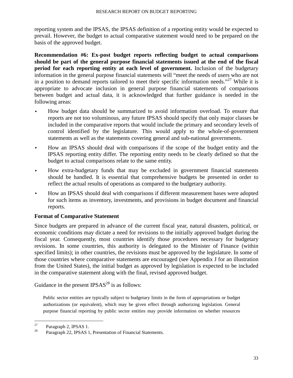reporting system and the IPSAS, the IPSAS definition of a reporting entity would be expected to prevail. However, the budget to actual comparative statement would need to be prepared on the basis of the approved budget.

**Recommendation #6: Ex-post budget reports reflecting budget to actual comparisons should be part of the general purpose financial statements issued at the end of the fiscal period for each reporting entity at each level of government.** Inclusion of the budgetary information in the general purpose financial statements will "meet the needs of users who are not in a position to demand reports tailored to meet their specific information needs."<sup>27</sup> While it is appropriate to advocate inclusion in general purpose financial statements of comparisons between budget and actual data, it is acknowledged that further guidance is needed in the following areas:

- How budget data should be summarized to avoid information overload. To ensure that reports are not too voluminous, any future IPSAS should specify that only major classes be included in the comparative reports that would include the primary and secondary levels of control identified by the legislature. This would apply to the whole-of-government statements as well as the statements covering general and sub-national governments.
- How an IPSAS should deal with comparisons if the scope of the budget entity and the IPSAS reporting entity differ. The reporting entity needs to be clearly defined so that the budget to actual comparisons relate to the same entity.
- How extra-budgetary funds that may be excluded in government financial statements should be handled. It is essential that comprehensive budgets be presented in order to reflect the actual results of operations as compared to the budgetary authority.
- How an IPSAS should deal with comparisons if different measurement bases were adopted for such items as inventory, investments, and provisions in budget document and financial reports.

## **Format of Comparative Statement**

Since budgets are prepared in advance of the current fiscal year, natural disasters, political, or economic conditions may dictate a need for revisions to the initially approved budget during the fiscal year. Consequently, most countries identify those procedures necessary for budgetary revisions. In some countries, this authority is delegated to the Minister of Finance (within specified limits); in other countries, the revisions must be approved by the legislature. In some of those countries where comparative statements are encouraged (see Appendix J for an illustration from the United States), the initial budget as approved by legislation is expected to be included in the comparative statement along with the final, revised approved budget.

Guidance in the present  $IPSAS<sup>28</sup>$  is as follows:

Public sector entities are typically subject to budgetary limits in the form of appropriations or budget authorizations (or equivalent), which may be given effect through authorizing legislation. General purpose financial reporting by public sector entities may provide information on whether resources

 $^{27}$  Paragraph 2, IPSAS 1.

Paragraph 22, IPSAS 1, Presentation of Financial Statements.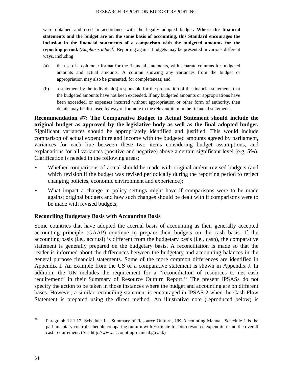#### RESEARCH REPORT ON BUDGET REPORTING

were obtained and used in accordance with the legally adopted budget**. Where the financial statements and the budget are on the same basis of accounting, this Standard encourages the inclusion in the financial statements of a comparison with the budgeted amounts for the reporting period.** *(Emphasis added)*. Reporting against budgets may be presented in various different ways, including:

- (a) the use of a columnar format for the financial statements, with separate columns for budgeted amounts and actual amounts. A column showing any variances from the budget or appropriation may also be presented, for completeness; and
- (b) a statement by the individual(s) responsible for the preparation of the financial statements that the budgeted amounts have not been exceeded. If any budgeted amounts or appropriations have been exceeded, or expenses incurred without appropriation or other form of authority, then details may be disclosed by way of footnote to the relevant item in the financial statements.

**Recommendation #7: The Comparative Budget to Actual Statement should include the original budget as approved by the legislative body as well as the final adopted budget.** Significant variances should be appropriately identified and justified. This would include comparison of actual expenditure and income with the budgeted amounts agreed by parliament, variances for each line between these two items considering budget assumptions, and explanations for all variances (positive and negative) above a certain significant level (e.g. 5%). Clarification is needed in the following areas:

- Whether comparisons of actual should be made with original and/or revised budgets (and which revision if the budget was revised periodically during the reporting period to reflect changing policies, economic environment and experience);
- What impact a change in policy settings might have if comparisons were to be made against original budgets and how such changes should be dealt with if comparisons were to be made with revised budgets;

#### **Reconciling Budgetary Basis with Accounting Basis**

Some countries that have adopted the accrual basis of accounting as their generally accepted accounting principle (GAAP) continue to prepare their budgets on the cash basis. If the accounting basis (i.e., accrual) is different from the budgetary basis (i.e., cash), the comparative statement is generally prepared on the budgetary basis. A reconciliation is made so that the reader is informed about the differences between the budgetary and accounting balances in the general purpose financial statements. Some of the more common differences are identified in Appendix I. An example from the US of a comparative statement is shown in Appendix J. In addition, the UK includes the requirement for a "reconciliation of resources to net cash requirement" in their Summary of Resource Outturn Report.<sup>29</sup> The present IPSASs do not specify the action to be taken in those instances where the budget and accounting are on different bases. However, a similar reconciling statement is encouraged in IPSAS 2 when the Cash Flow Statement is prepared using the direct method. An illustrative note (reproduced below) is

<sup>&</sup>lt;sup>29</sup> Paragraph 12.1.12, Schedule 1 – Summary of Resource Outturn, UK Accounting Manual. Schedule 1 is the parliamentary control schedule comparing outturn with Estimate for both resource expenditure and the overall cash requirement. (See http://www.accounting-manual.gov.uk)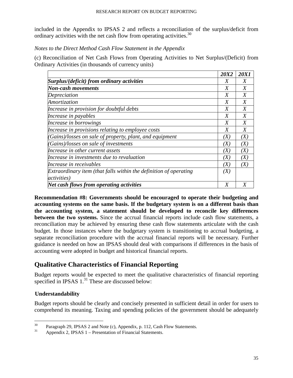included in the Appendix to IPSAS 2 and reflects a reconciliation of the surplus/deficit from ordinary activities with the net cash flow from operating activities.<sup>30</sup>

#### *Notes to the Direct Method Cash Flow Statement in the Appendix*

(c) Reconciliation of Net Cash Flows from Operating Activities to Net Surplus/(Deficit) from Ordinary Activities (in thousands of currency units)

|                                                                   | <b>20X2</b>       | <b>20X1</b>       |
|-------------------------------------------------------------------|-------------------|-------------------|
| Surplus/(deficit) from ordinary activities                        | X                 | X                 |
| <b>Non-cash movements</b>                                         |                   | X                 |
| Depreciation                                                      | X                 | X                 |
| Amortization                                                      | X                 | X                 |
| Increase in provision for doubtful debts                          | X                 | X                 |
| Increase in payables                                              | X                 | X                 |
| Increase in borrowings                                            | X                 | X                 |
| Increase in provisions relating to employee costs                 | X                 | X                 |
| (Gains)/losses on sale of property, plant, and equipment          | (X)               | (X)               |
| (Gains)/losses on sale of investments                             | (X)               | $\left( X\right)$ |
| Increase in other current assets                                  | (X)               | (X)               |
| Increase in investments due to revaluation                        | (X)               | $\left( X\right)$ |
| Increase in receivables                                           | (X)               | (X)               |
| Extraordinary item (that falls within the definition of operating | $\left( X\right)$ |                   |
| <i>activities</i> )                                               |                   |                   |
| <b>Net cash flows from operating activities</b>                   | X                 |                   |

**Recommendation #8: Governments should be encouraged to operate their budgeting and accounting systems on the same basis. If the budgetary system is on a different basis than the accounting system, a statement should be developed to reconcile key differences between the two systems.** Since the accrual financial reports include cash flow statements, a reconciliation may be achieved by ensuring these cash flow statements articulate with the cash budget. In those instances where the budgetary system is transitioning to accrual budgeting, a separate reconciliation procedure with the accrual financial reports will be necessary. Further guidance is needed on how an IPSAS should deal with comparisons if differences in the basis of accounting were adopted in budget and historical financial reports.

# **Qualitative Characteristics of Financial Reporting**

Budget reports would be expected to meet the qualitative characteristics of financial reporting specified in IPSAS  $1.^{31}$  These are discussed below:

## **Understandability**

Budget reports should be clearly and concisely presented in sufficient detail in order for users to comprehend its meaning. Taxing and spending policies of the government should be adequately

<sup>&</sup>lt;sup>30</sup> Paragraph 29, IPSAS 2 and Note (c), Appendix, p. 112, Cash Flow Statements.<br> $\frac{31}{2}$  Appendix 2, IPSAS 1. Presentation of Einengial Statements.

Appendix 2, IPSAS 1 – Presentation of Financial Statements.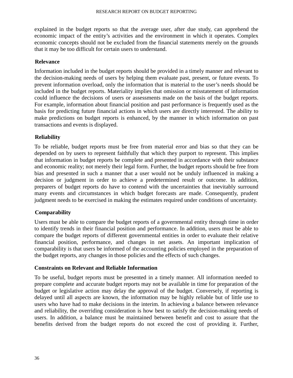explained in the budget reports so that the average user, after due study, can apprehend the economic impact of the entity's activities and the environment in which it operates. Complex economic concepts should not be excluded from the financial statements merely on the grounds that it may be too difficult for certain users to understand.

#### **Relevance**

Information included in the budget reports should be provided in a timely manner and relevant to the decision-making needs of users by helping them evaluate past, present, or future events. To prevent information overload, only the information that is material to the user's needs should be included in the budget reports. Materiality implies that omission or misstatement of information could influence the decisions of users or assessments made on the basis of the budget reports. For example, information about financial position and past performance is frequently used as the basis for predicting future financial actions in which users are directly interested. The ability to make predictions on budget reports is enhanced, by the manner in which information on past transactions and events is displayed.

## **Reliability**

To be reliable, budget reports must be free from material error and bias so that they can be depended on by users to represent faithfully that which they purport to represent. This implies that information in budget reports be complete and presented in accordance with their substance and economic reality; not merely their legal form. Further, the budget reports should be free from bias and presented in such a manner that a user would not be unduly influenced in making a decision or judgment in order to achieve a predetermined result or outcome. In addition, preparers of budget reports do have to contend with the uncertainties that inevitably surround many events and circumstances in which budget forecasts are made. Consequently, prudent judgment needs to be exercised in making the estimates required under conditions of uncertainty.

## **Comparability**

Users must be able to compare the budget reports of a governmental entity through time in order to identify trends in their financial position and performance. In addition, users must be able to compare the budget reports of different governmental entities in order to evaluate their relative financial position, performance, and changes in net assets. An important implication of comparability is that users be informed of the accounting policies employed in the preparation of the budget reports, any changes in those policies and the effects of such changes.

## **Constraints on Relevant and Reliable Information**

To be useful, budget reports must be presented in a timely manner. All information needed to prepare complete and accurate budget reports may not be available in time for preparation of the budget or legislative action may delay the approval of the budget. Conversely, if reporting is delayed until all aspects are known, the information may be highly reliable but of little use to users who have had to make decisions in the interim. In achieving a balance between relevance and reliability, the overriding consideration is how best to satisfy the decision-making needs of users. In addition, a balance must be maintained between benefit and cost to assure that the benefits derived from the budget reports do not exceed the cost of providing it. Further,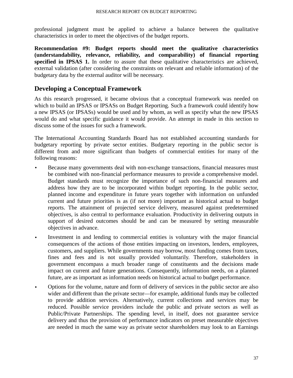professional judgment must be applied to achieve a balance between the qualitative characteristics in order to meet the objectives of the budget reports.

**Recommendation #9: Budget reports should meet the qualitative characteristics (understandability, relevance, reliability, and comparability) of financial reporting**  specified in IPSAS 1. In order to assure that these qualitative characteristics are achieved, external validation (after considering the constraints on relevant and reliable information) of the budgetary data by the external auditor will be necessary.

# **Developing a Conceptual Framework**

As this research progressed, it became obvious that a conceptual framework was needed on which to build an IPSAS or IPSASs on Budget Reporting. Such a framework could identify how a new IPSAS (or IPSASs) would be used and by whom, as well as specify what the new IPSAS would do and what specific guidance it would provide. An attempt in made in this section to discuss some of the issues for such a framework.

The International Accounting Standards Board has not established accounting standards for budgetary reporting by private sector entities. Budgetary reporting in the public sector is different from and more significant than budgets of commercial entities for many of the following reasons:

- Because many governments deal with non-exchange transactions, financial measures must be combined with non-financial performance measures to provide a comprehensive model. Budget standards must recognize the importance of such non-financial measures and address how they are to be incorporated within budget reporting. In the public sector, planned income and expenditure in future years together with information on unfunded current and future priorities is as (if not more) important as historical actual to budget reports. The attainment of projected service delivery, measured against predetermined objectives, is also central to performance evaluation. Productivity in delivering outputs in support of desired outcomes should be and can be measured by setting measurable objectives in advance.
- Investment in and lending to commercial entities is voluntary with the major financial consequences of the actions of those entities impacting on investors, lenders, employees, customers, and suppliers. While governments may borrow, most funding comes from taxes, fines and fees and is not usually provided voluntarily. Therefore, stakeholders in government encompass a much broader range of constituents and the decisions made impact on current and future generations. Consequently, information needs, on a planned future, are as important as information needs on historical actual to budget performance.
- Options for the volume, nature and form of delivery of services in the public sector are also wider and different than the private sector—for example, additional funds may be collected to provide addition services. Alternatively, current collections and services may be reduced. Possible service providers include the public and private sectors as well as Public/Private Partnerships. The spending level, in itself, does not guarantee service delivery and thus the provision of performance indicators on preset measurable objectives are needed in much the same way as private sector shareholders may look to an Earnings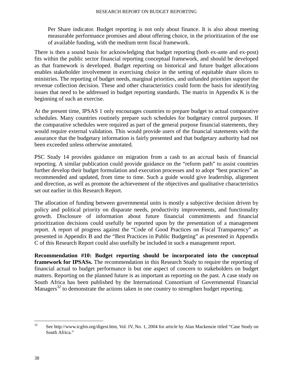Per Share indicator. Budget reporting is not only about finance. It is also about meeting measurable performance promises and about offering choice, in the prioritization of the use of available funding, with the medium term fiscal framework.

There is then a sound basis for acknowledging that budget reporting (both ex-ante and ex-post) fits within the public sector financial reporting conceptual framework, and should be developed as that framework is developed. Budget reporting on historical and future budget allocations enables stakeholder involvement in exercising choice in the setting of equitable share slices to ministries. The reporting of budget needs, marginal priorities, and unfunded priorities support the revenue collection decision. These and other characteristics could form the basis for identifying issues that need to be addressed in budget reporting standards. The matrix in Appendix K is the beginning of such an exercise.

At the present time, IPSAS 1 only encourages countries to prepare budget to actual comparative schedules. Many countries routinely prepare such schedules for budgetary control purposes. If the comparative schedules were required as part of the general purpose financial statements, they would require external validation. This would provide users of the financial statements with the assurance that the budgetary information is fairly presented and that budgetary authority had not been exceeded unless otherwise annotated.

PSC Study 14 provides guidance on migration from a cash to an accrual basis of financial reporting. A similar publication could provide guidance on the "reform path" to assist countries further develop their budget formulation and execution processes and to adopt "best practices" as recommended and updated, from time to time. Such a guide would give leadership, alignment and direction, as well as promote the achievement of the objectives and qualitative characteristics set out earlier in this Research Report.

The allocation of funding between governmental units is mostly a subjective decision driven by policy and political priority on disparate needs, productivity improvements, and functionality growth. Disclosure of information about future financial commitments and financial prioritization decisions could usefully be reported upon by the presentation of a management report. A report of progress against the "Code of Good Practices on Fiscal Transparency" as presented in Appendix B and the "Best Practices in Public Budgeting" as presented in Appendix C of this Research Report could also usefully be included in such a management report.

**Recommendation #10: Budget reporting should be incorporated into the conceptual framework for IPSASs.** The recommendation in this Research Study to require the reporting of financial actual to budget performance is but one aspect of concern to stakeholders on budget matters. Reporting on the planned future is as important as reporting on the past. A case study on South Africa has been published by the International Consortium of Governmental Financial Managers<sup>32</sup> to demonstrate the actions taken in one country to strengthen budget reporting.

<sup>&</sup>lt;sup>32</sup> See http://www.icgfm.org/digest.htm, Vol. IV, No. 1, 2004 for article by Alan Mackenzie titled "Case Study on South Africa."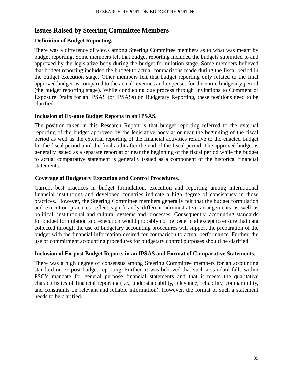# **Issues Raised by Steering Committee Members**

#### **Definition of Budget Reporting.**

There was a difference of views among Steering Committee members as to what was meant by budget reporting. Some members felt that budget reporting included the budgets submitted to and approved by the legislative body during the budget formulation stage. Some members believed that budget reporting included the budget to actual comparisons made during the fiscal period in the budget execution stage. Other members felt that budget reporting only related to the final approved budget as compared to the actual revenues and expenses for the entire budgetary period (the budget reporting stage). While conducting due process through Invitations to Comment or Exposure Drafts for an IPSAS (or IPSASs) on Budgetary Reporting, these positions need to be clarified.

#### **Inclusion of Ex-ante Budget Reports in an IPSAS.**

The position taken in this Research Report is that budget reporting referred to the external reporting of the budget approved by the legislative body at or near the beginning of the fiscal period as well as the external reporting of the financial activities relative to the enacted budget for the fiscal period until the final audit after the end of the fiscal period. The approved budget is generally issued as a separate report at or near the beginning of the fiscal period while the budget to actual comparative statement is generally issued as a component of the historical financial statements.

#### **Coverage of Budgetary Execution and Control Procedures.**

Current best practices in budget formulation, execution and reporting among international financial institutions and developed countries indicate a high degree of consistency in those practices. However, the Steering Committee members generally felt that the budget formulation and execution practices reflect significantly different administrative arrangements as well as political, institutional and cultural systems and processes. Consequently, accounting standards for budget formulation and execution would probably not be beneficial except to ensure that data collected through the use of budgetary accounting procedures will support the preparation of the budget with the financial information desired for comparison to actual performance. Further, the use of commitment accounting procedures for budgetary control purposes should be clarified.

## **Inclusion of Ex-post Budget Reports in an IPSAS and Format of Comparative Statements.**

There was a high degree of consensus among Steering Committee members for an accounting standard on ex-post budget reporting. Further, it was believed that such a standard falls within PSC's mandate for general purpose financial statements and that it meets the qualitative characteristics of financial reporting (i.e., understandability, relevance, reliability, comparability, and constraints on relevant and reliable information). However, the format of such a statement needs to be clarified.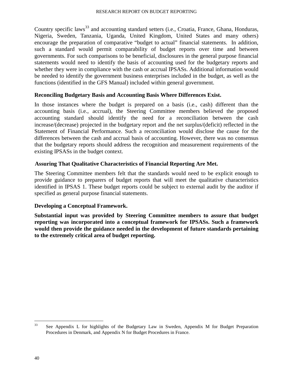Country specific laws<sup>33</sup> and accounting standard setters (i.e., Croatia, France, Ghana, Honduras, Nigeria, Sweden, Tanzania, Uganda, United Kingdom, United States and many others) encourage the preparation of comparative "budget to actual" financial statements. In addition, such a standard would permit comparability of budget reports over time and between governments. For such comparisons to be beneficial, disclosures in the general purpose financial statements would need to identify the basis of accounting used for the budgetary reports and whether they were in compliance with the cash or accrual IPSASs. Additional information would be needed to identify the government business enterprises included in the budget, as well as the functions (identified in the GFS Manual) included within general government.

#### **Reconciling Budgetary Basis and Accounting Basis Where Differences Exist.**

In those instances where the budget is prepared on a basis (i.e., cash) different than the accounting basis (i.e., accrual), the Steering Committee members believed the proposed accounting standard should identify the need for a reconciliation between the cash increase/(decrease) projected in the budgetary report and the net surplus/(deficit) reflected in the Statement of Financial Performance. Such a reconciliation would disclose the cause for the differences between the cash and accrual basis of accounting. However, there was no consensus that the budgetary reports should address the recognition and measurement requirements of the existing IPSASs in the budget context.

#### **Assuring That Qualitative Characteristics of Financial Reporting Are Met.**

The Steering Committee members felt that the standards would need to be explicit enough to provide guidance to preparers of budget reports that will meet the qualitative characteristics identified in IPSAS 1. These budget reports could be subject to external audit by the auditor if specified as general purpose financial statements.

#### **Developing a Conceptual Framework.**

**Substantial input was provided by Steering Committee members to assure that budget reporting was incorporated into a conceptual framework for IPSASs. Such a framework would then provide the guidance needed in the development of future standards pertaining to the extremely critical area of budget reporting.** 

<sup>&</sup>lt;sup>33</sup> See Appendix L for highlights of the Budgetary Law in Sweden, Appendix M for Budget Preparation Procedures in Denmark, and Appendix N for Budget Procedures in France.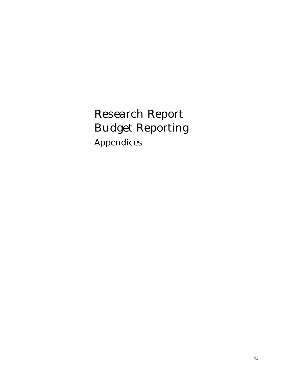Research Report Budget Reporting Appendices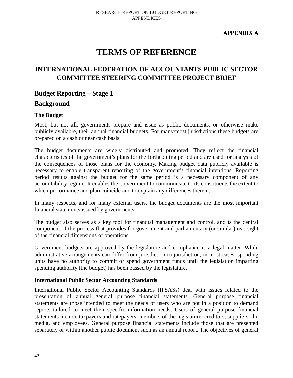**APPENDIX A** 

# **TERMS OF REFERENCE**

# **INTERNATIONAL FEDERATION OF ACCOUNTANTS PUBLIC SECTOR COMMITTEE STEERING COMMITTEE PROJECT BRIEF**

# **Budget Reporting – Stage 1 Background**

## **The Budget**

Most, but not all, governments prepare and issue as public documents, or otherwise make publicly available, their annual financial budgets. For many/most jurisdictions these budgets are prepared on a cash or near cash basis.

The budget documents are widely distributed and promoted. They reflect the financial characteristics of the government's plans for the forthcoming period and are used for analysis of the consequences of those plans for the economy. Making budget data publicly available is necessary to enable transparent reporting of the government's financial intentions. Reporting period results against the budget for the same period is a necessary component of any accountability regime. It enables the Government to communicate to its constituents the extent to which performance and plan coincide and to explain any differences therein.

In many respects, and for many external users, the budget documents are the most important financial statements issued by governments.

The budget also serves as a key tool for financial management and control, and is the central component of the process that provides for government and parliamentary (or similar) oversight of the financial dimensions of operations.

Government budgets are approved by the legislature and compliance is a legal matter. While administrative arrangements can differ from jurisdiction to jurisdiction, in most cases, spending units have no authority to commit or spend government funds until the legislation imparting spending authority (the budget) has been passed by the legislature.

#### **International Public Sector Accounting Standards**

International Public Sector Accounting Standards (IPSASs) deal with issues related to the presentation of annual general purpose financial statements. General purpose financial statements are those intended to meet the needs of users who are not in a position to demand reports tailored to meet their specific information needs. Users of general purpose financial statements include taxpayers and ratepayers, members of the legislature, creditors, suppliers, the media, and employees. General purpose financial statements include those that are presented separately or within another public document such as an annual report. The objectives of general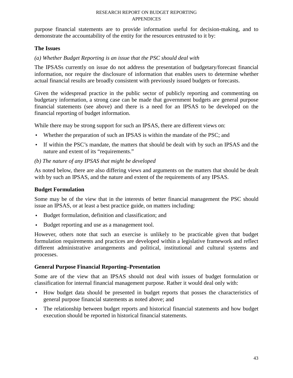purpose financial statements are to provide information useful for decision-making, and to demonstrate the accountability of the entity for the resources entrusted to it by:

## **The Issues**

*(a) Whether Budget Reporting is an issue that the PSC should deal with* 

The IPSASs currently on issue do not address the presentation of budgetary/forecast financial information, nor require the disclosure of information that enables users to determine whether actual financial results are broadly consistent with previously issued budgets or forecasts.

Given the widespread practice in the public sector of publicly reporting and commenting on budgetary information, a strong case can be made that government budgets are general purpose financial statements (see above) and there is a need for an IPSAS to be developed on the financial reporting of budget information.

While there may be strong support for such an IPSAS, there are different views on:

- Whether the preparation of such an IPSAS is within the mandate of the PSC; and
- If within the PSC's mandate, the matters that should be dealt with by such an IPSAS and the nature and extent of its "requirements."

## *(b) The nature of any IPSAS that might be developed*

As noted below, there are also differing views and arguments on the matters that should be dealt with by such an IPSAS, and the nature and extent of the requirements of any IPSAS.

## **Budget Formulation**

Some may be of the view that in the interests of better financial management the PSC should issue an IPSAS, or at least a best practice guide, on matters including:

- Budget formulation, definition and classification; and
- Budget reporting and use as a management tool.

However, others note that such an exercise is unlikely to be practicable given that budget formulation requirements and practices are developed within a legislative framework and reflect different administrative arrangements and political, institutional and cultural systems and processes.

## **General Purpose Financial Reporting–Presentation**

Some are of the view that an IPSAS should not deal with issues of budget formulation or classification for internal financial management purpose. Rather it would deal only with:

- How budget data should be presented in budget reports that posses the characteristics of general purpose financial statements as noted above; and
- The relationship between budget reports and historical financial statements and how budget execution should be reported in historical financial statements.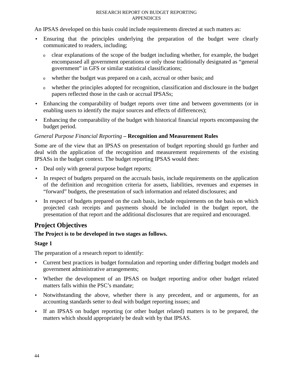An IPSAS developed on this basis could include requirements directed at such matters as:

- Ensuring that the principles underlying the preparation of the budget were clearly communicated to readers, including;
	- <sup>o</sup>clear explanations of the scope of the budget including whether, for example, the budget encompassed all government operations or only those traditionally designated as "general government" in GFS or similar statistical classifications;
	- <sup>o</sup>whether the budget was prepared on a cash, accrual or other basis; and
	- <sup>o</sup>whether the principles adopted for recognition, classification and disclosure in the budget papers reflected those in the cash or accrual IPSASs;
- Enhancing the comparability of budget reports over time and between governments (or in enabling users to identify the major sources and effects of differences);
- Enhancing the comparability of the budget with historical financial reports encompassing the budget period.

#### *General Purpose Financial Reporting* **– Recognition and Measurement Rules**

Some are of the view that an IPSAS on presentation of budget reporting should go further and deal with the application of the recognition and measurement requirements of the existing IPSASs in the budget context. The budget reporting IPSAS would then:

- Deal only with general purpose budget reports;
- In respect of budgets prepared on the accruals basis, include requirements on the application of the definition and recognition criteria for assets, liabilities, revenues and expenses in "forward" budgets, the presentation of such information and related disclosures; and
- In respect of budgets prepared on the cash basis, include requirements on the basis on which projected cash receipts and payments should be included in the budget report, the presentation of that report and the additional disclosures that are required and encouraged.

# **Project Objectives**

## **The Project is to be developed in two stages as follows.**

#### **Stage 1**

The preparation of a research report to identify:

- Current best practices in budget formulation and reporting under differing budget models and government administrative arrangements;
- Whether the development of an IPSAS on budget reporting and/or other budget related matters falls within the PSC's mandate;
- Notwithstanding the above, whether there is any precedent, and or arguments, for an accounting standards setter to deal with budget reporting issues; and
- If an IPSAS on budget reporting (or other budget related) matters is to be prepared, the matters which should appropriately be dealt with by that IPSAS.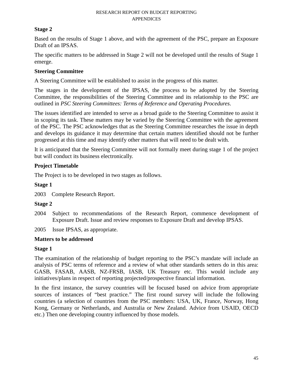#### **Stage 2**

Based on the results of Stage 1 above, and with the agreement of the PSC, prepare an Exposure Draft of an IPSAS.

The specific matters to be addressed in Stage 2 will not be developed until the results of Stage 1 emerge.

#### **Steering Committee**

A Steering Committee will be established to assist in the progress of this matter.

The stages in the development of the IPSAS, the process to be adopted by the Steering Committee, the responsibilities of the Steering Committee and its relationship to the PSC are outlined in *PSC Steering Committees: Terms of Reference and Operating Procedures*.

The issues identified are intended to serve as a broad guide to the Steering Committee to assist it in scoping its task. These matters may be varied by the Steering Committee with the agreement of the PSC. The PSC acknowledges that as the Steering Committee researches the issue in depth and develops its guidance it may determine that certain matters identified should not be further progressed at this time and may identify other matters that will need to be dealt with*.* 

It is anticipated that the Steering Committee will not formally meet during stage 1 of the project but will conduct its business electronically.

## **Project Timetable**

The Project is to be developed in two stages as follows.

## **Stage 1**

2003 Complete Research Report.

## **Stage 2**

- 2004 Subject to recommendations of the Research Report, commence development of Exposure Draft. Issue and review responses to Exposure Draft and develop IPSAS.
- 2005 Issue IPSAS, as appropriate.

## **Matters to be addressed**

#### **Stage 1**

The examination of the relationship of budget reporting to the PSC's mandate will include an analysis of PSC terms of reference and a review of what other standards setters do in this area: GASB, FASAB, AASB, NZ-FRSB, IASB, UK Treasury etc. This would include any initiatives/plans in respect of reporting projected/prospective financial information.

In the first instance, the survey countries will be focused based on advice from appropriate sources of instances of "best practice." The first round survey will include the following countries (a selection of countries from the PSC members: USA, UK, France, Norway, Hong Kong, Germany or Netherlands, and Australia or New Zealand. Advice from USAID, OECD etc.) Then one developing country influenced by those models.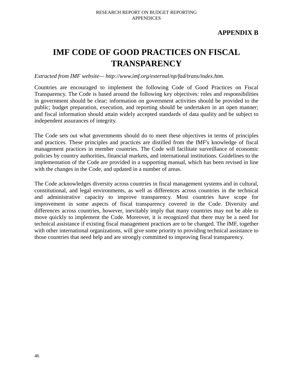# **IMF CODE OF GOOD PRACTICES ON FISCAL TRANSPARENCY**

*Extracted from IMF website— http://www.imf.org/external/np/fad/trans/index.htm.* 

Countries are encouraged to implement the following Code of Good Practices on Fiscal Transparency. The Code is based around the following key objectives: roles and responsibilities in government should be clear; information on government activities should be provided to the public; budget preparation, execution, and reporting should be undertaken in an open manner; and fiscal information should attain widely accepted standards of data quality and be subject to independent assurances of integrity.

The Code sets out what governments should do to meet these objectives in terms of principles and practices. These principles and practices are distilled from the IMF's knowledge of fiscal management practices in member countries. The Code will facilitate surveillance of economic policies by country authorities, financial markets, and international institutions. Guidelines to the implementation of the Code are provided in a supporting manual, which has been revised in line with the changes in the Code, and updated in a number of areas.

The Code acknowledges diversity across countries in fiscal management systems and in cultural, constitutional, and legal environments, as well as differences across countries in the technical and administrative capacity to improve transparency. Most countries have scope for improvement in some aspects of fiscal transparency covered in the Code. Diversity and differences across countries, however, inevitably imply that many countries may not be able to move quickly to implement the Code. Moreover, it is recognized that there may be a need for technical assistance if existing fiscal management practices are to be changed. The IMF, together with other international organizations, will give some priority to providing technical assistance to those countries that need help and are strongly committed to improving fiscal transparency.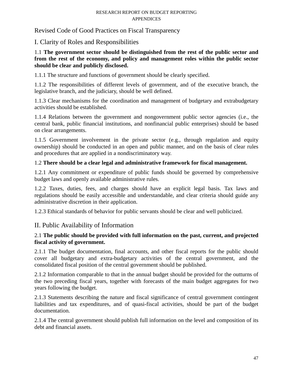Revised Code of Good Practices on Fiscal Transparency

# I. Clarity of Roles and Responsibilities

## 1.1 **The government sector should be distinguished from the rest of the public sector and from the rest of the economy, and policy and management roles within the public sector should be clear and publicly disclosed.**

1.1.1 The structure and functions of government should be clearly specified.

1.1.2 The responsibilities of different levels of government, and of the executive branch, the legislative branch, and the judiciary, should be well defined.

1.1.3 Clear mechanisms for the coordination and management of budgetary and extrabudgetary activities should be established.

1.1.4 Relations between the government and nongovernment public sector agencies (i.e., the central bank, public financial institutions, and nonfinancial public enterprises) should be based on clear arrangements.

1.1.5 Government involvement in the private sector (e.g., through regulation and equity ownership) should be conducted in an open and public manner, and on the basis of clear rules and procedures that are applied in a nondiscriminatory way.

## 1.2 **There should be a clear legal and administrative framework for fiscal management.**

1.2.1 Any commitment or expenditure of public funds should be governed by comprehensive budget laws and openly available administrative rules.

1.2.2 Taxes, duties, fees, and charges should have an explicit legal basis. Tax laws and regulations should be easily accessible and understandable, and clear criteria should guide any administrative discretion in their application.

1.2.3 Ethical standards of behavior for public servants should be clear and well publicized.

# II. Public Availability of Information

## 2.1 **The public should be provided with full information on the past, current, and projected fiscal activity of government.**

2.1.1 The budget documentation, final accounts, and other fiscal reports for the public should cover all budgetary and extra-budgetary activities of the central government, and the consolidated fiscal position of the central government should be published.

2.1.2 Information comparable to that in the annual budget should be provided for the outturns of the two preceding fiscal years, together with forecasts of the main budget aggregates for two years following the budget.

2.1.3 Statements describing the nature and fiscal significance of central government contingent liabilities and tax expenditures, and of quasi-fiscal activities, should be part of the budget documentation.

2.1.4 The central government should publish full information on the level and composition of its debt and financial assets.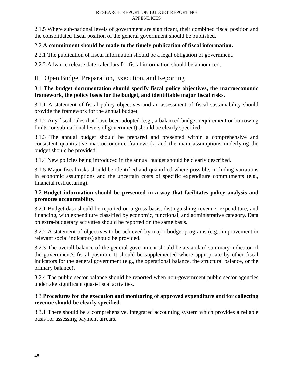2.1.5 Where sub-national levels of government are significant, their combined fiscal position and the consolidated fiscal position of the general government should be published.

## 2.2 **A commitment should be made to the timely publication of fiscal information.**

2.2.1 The publication of fiscal information should be a legal obligation of government.

2.2.2 Advance release date calendars for fiscal information should be announced.

# III. Open Budget Preparation, Execution, and Reporting

## 3.1 **The budget documentation should specify fiscal policy objectives, the macroeconomic framework, the policy basis for the budget, and identifiable major fiscal risks.**

3.1.1 A statement of fiscal policy objectives and an assessment of fiscal sustainability should provide the framework for the annual budget.

3.1.2 Any fiscal rules that have been adopted (e.g., a balanced budget requirement or borrowing limits for sub-national levels of government) should be clearly specified.

3.1.3 The annual budget should be prepared and presented within a comprehensive and consistent quantitative macroeconomic framework, and the main assumptions underlying the budget should be provided.

3.1.4 New policies being introduced in the annual budget should be clearly described.

3.1.5 Major fiscal risks should be identified and quantified where possible, including variations in economic assumptions and the uncertain costs of specific expenditure commitments (e.g., financial restructuring).

## 3.2 **Budget information should be presented in a way that facilitates policy analysis and promotes accountability.**

3.2.1 Budget data should be reported on a gross basis, distinguishing revenue, expenditure, and financing, with expenditure classified by economic, functional, and administrative category. Data on extra-budgetary activities should be reported on the same basis.

3.2.2 A statement of objectives to be achieved by major budget programs (e.g., improvement in relevant social indicators) should be provided.

3.2.3 The overall balance of the general government should be a standard summary indicator of the government's fiscal position. It should be supplemented where appropriate by other fiscal indicators for the general government (e.g., the operational balance, the structural balance, or the primary balance).

3.2.4 The public sector balance should be reported when non-government public sector agencies undertake significant quasi-fiscal activities.

## 3.3 **Procedures for the execution and monitoring of approved expenditure and for collecting revenue should be clearly specified.**

3.3.1 There should be a comprehensive, integrated accounting system which provides a reliable basis for assessing payment arrears.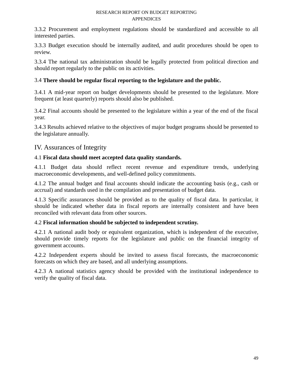3.3.2 Procurement and employment regulations should be standardized and accessible to all interested parties.

3.3.3 Budget execution should be internally audited, and audit procedures should be open to review.

3.3.4 The national tax administration should be legally protected from political direction and should report regularly to the public on its activities.

## 3.4 **There should be regular fiscal reporting to the legislature and the public.**

3.4.1 A mid-year report on budget developments should be presented to the legislature. More frequent (at least quarterly) reports should also be published.

3.4.2 Final accounts should be presented to the legislature within a year of the end of the fiscal year.

3.4.3 Results achieved relative to the objectives of major budget programs should be presented to the legislature annually.

## IV. Assurances of Integrity

## 4.1 **Fiscal data should meet accepted data quality standards.**

4.1.1 Budget data should reflect recent revenue and expenditure trends, underlying macroeconomic developments, and well-defined policy commitments.

4.1.2 The annual budget and final accounts should indicate the accounting basis (e.g., cash or accrual) and standards used in the compilation and presentation of budget data.

4.1.3 Specific assurances should be provided as to the quality of fiscal data. In particular, it should be indicated whether data in fiscal reports are internally consistent and have been reconciled with relevant data from other sources.

## 4.2 **Fiscal information should be subjected to independent scrutiny.**

4.2.1 A national audit body or equivalent organization, which is independent of the executive, should provide timely reports for the legislature and public on the financial integrity of government accounts.

4.2.2 Independent experts should be invited to assess fiscal forecasts, the macroeconomic forecasts on which they are based, and all underlying assumptions.

4.2.3 A national statistics agency should be provided with the institutional independence to verify the quality of fiscal data.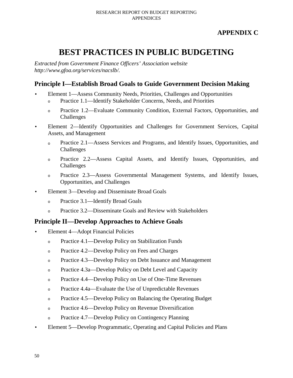# **APPENDIX C**

# **BEST PRACTICES IN PUBLIC BUDGETING**

*Extracted from Government Finance Officers' Association website http://www.gfoa.org/services/nacslb/.* 

# **Principle I—Establish Broad Goals to Guide Government Decision Making**

- Element 1—Assess Community Needs, Priorities, Challenges and Opportunities
	- o Practice 1.1—Identify Stakeholder Concerns, Needs, and Priorities
	- o Practice 1.2—Evaluate Community Condition, External Factors, Opportunities, and Challenges
- Element 2—Identify Opportunities and Challenges for Government Services, Capital Assets, and Management
	- <sup>o</sup>Practice 2.1—Assess Services and Programs, and Identify Issues, Opportunities, and Challenges
	- o Practice 2.2—Assess Capital Assets, and Identify Issues, Opportunities, and Challenges
	- o Practice 2.3—Assess Governmental Management Systems, and Identify Issues, Opportunities, and Challenges
- Element 3—Develop and Disseminate Broad Goals
	- o Practice 3.1—Identify Broad Goals
	- o Practice 3.2—Disseminate Goals and Review with Stakeholders

# **Principle II—Develop Approaches to Achieve Goals**

- Element 4—Adopt Financial Policies
	- o Practice 4.1—Develop Policy on Stabilization Funds
	- o Practice 4.2—Develop Policy on Fees and Charges
	- o Practice 4.3—Develop Policy on Debt Issuance and Management
	- o Practice 4.3a—Develop Policy on Debt Level and Capacity
	- o Practice 4.4—Develop Policy on Use of One-Time Revenues
	- o Practice 4.4a—Evaluate the Use of Unpredictable Revenues
	- o Practice 4.5—Develop Policy on Balancing the Operating Budget
	- o Practice 4.6—Develop Policy on Revenue Diversification
	- o Practice 4.7—Develop Policy on Contingency Planning
- Element 5—Develop Programmatic, Operating and Capital Policies and Plans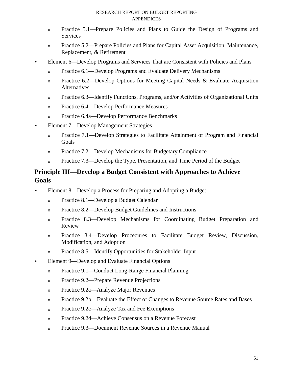- <sup>o</sup>Practice 5.1—Prepare Policies and Plans to Guide the Design of Programs and **Services**
- <sup>o</sup>Practice 5.2—Prepare Policies and Plans for Capital Asset Acquisition, Maintenance, Replacement, & Retirement
- Element 6—Develop Programs and Services That are Consistent with Policies and Plans
	- o Practice 6.1—Develop Programs and Evaluate Delivery Mechanisms
	- o Practice 6.2—Develop Options for Meeting Capital Needs  $&$  Evaluate Acquisition **Alternatives**
	- o Practice 6.3—Identify Functions, Programs, and/or Activities of Organizational Units
	- o Practice 6.4—Develop Performance Measures
	- <sup>o</sup>Practice 6.4a—Develop Performance Benchmarks
- Element 7—Develop Management Strategies
	- <sup>o</sup>Practice 7.1—Develop Strategies to Facilitate Attainment of Program and Financial **Goals**
	- o Practice 7.2—Develop Mechanisms for Budgetary Compliance
	- $\circ$  Practice 7.3—Develop the Type, Presentation, and Time Period of the Budget

# **Principle III—Develop a Budget Consistent with Approaches to Achieve Goals**

- Element 8—Develop a Process for Preparing and Adopting a Budget
	- o Practice 8.1—Develop a Budget Calendar
	- o Practice 8.2—Develop Budget Guidelines and Instructions
	- o Practice 8.3—Develop Mechanisms for Coordinating Budget Preparation and Review
	- o Practice 8.4—Develop Procedures to Facilitate Budget Review, Discussion, Modification, and Adoption
	- o Practice 8.5—Identify Opportunities for Stakeholder Input
- Element 9—Develop and Evaluate Financial Options
	- <sup>o</sup>Practice 9.1—Conduct Long-Range Financial Planning
	- o Practice 9.2—Prepare Revenue Projections
	- o Practice 9.2a—Analyze Major Revenues
	- o Practice 9.2b—Evaluate the Effect of Changes to Revenue Source Rates and Bases
	- o Practice 9.2c—Analyze Tax and Fee Exemptions
	- <sup>o</sup>Practice 9.2d—Achieve Consensus on a Revenue Forecast
	- o Practice 9.3—Document Revenue Sources in a Revenue Manual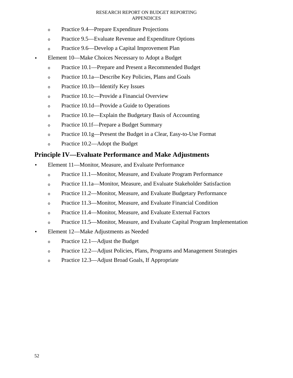- <sup>o</sup>Practice 9.4—Prepare Expenditure Projections
- o Practice 9.5—Evaluate Revenue and Expenditure Options
- o Practice 9.6—Develop a Capital Improvement Plan
- Element 10—Make Choices Necessary to Adopt a Budget
	- o Practice 10.1—Prepare and Present a Recommended Budget
	- o Practice 10.1a—Describe Key Policies, Plans and Goals
	- o Practice 10.1b—Identify Key Issues
	- o Practice 10.1c—Provide a Financial Overview
	- o Practice 10.1d—Provide a Guide to Operations
	- o Practice 10.1e—Explain the Budgetary Basis of Accounting
	- <sup>o</sup>Practice 10.1f—Prepare a Budget Summary
	- o Practice 10.1g—Present the Budget in a Clear, Easy-to-Use Format
	- o Practice 10.2—Adopt the Budget

## **Principle IV—Evaluate Performance and Make Adjustments**

- Element 11—Monitor, Measure, and Evaluate Performance
	- <sup>o</sup>Practice 11.1—Monitor, Measure, and Evaluate Program Performance
	- <sup>o</sup>Practice 11.1a—Monitor, Measure, and Evaluate Stakeholder Satisfaction
	- o Practice 11.2—Monitor, Measure, and Evaluate Budgetary Performance
	- <sup>o</sup>Practice 11.3—Monitor, Measure, and Evaluate Financial Condition
	- o Practice 11.4—Monitor, Measure, and Evaluate External Factors
	- o Practice 11.5—Monitor, Measure, and Evaluate Capital Program Implementation
- Element 12—Make Adjustments as Needed
	- o Practice 12.1—Adjust the Budget
	- o Practice 12.2—Adjust Policies, Plans, Programs and Management Strategies
	- o Practice 12.3—Adjust Broad Goals, If Appropriate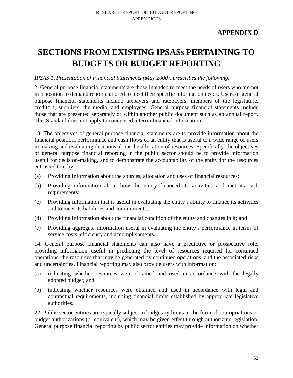# **APPENDIX D**

# **SECTIONS FROM EXISTING IPSASs PERTAINING TO BUDGETS OR BUDGET REPORTING**

#### *IPSAS 1, Presentation of Financial Statements (May 2000), prescribes the following:*

2. General purpose financial statements are those intended to meet the needs of users who are not in a position to demand reports tailored to meet their specific information needs. Users of general purpose financial statements include taxpayers and ratepayers, members of the legislature, creditors, suppliers, the media, and employees. General purpose financial statements include those that are presented separately or within another public document such as an annual report. This Standard does not apply to condensed interim financial information.

13. The objectives of general purpose financial statements are to provide information about the financial position, performance and cash flows of an entity that is useful to a wide range of users in making and evaluating decisions about the allocation of resources. Specifically, the objectives of general purpose financial reporting in the public sector should be to provide information useful for decision-making, and to demonstrate the accountability of the entity for the resources entrusted to it by:

- (a) Providing information about the sources, allocation and uses of financial resources;
- (b) Providing information about how the entity financed its activities and met its cash requirements;
- (c) Providing information that is useful in evaluating the entity's ability to finance its activities and to meet its liabilities and commitments;
- (d) Providing information about the financial condition of the entity and changes in it; and
- (e) Providing aggregate information useful in evaluating the entity's performance in terms of service costs, efficiency and accomplishments.

14. General purpose financial statements can also have a predictive or prospective role, providing information useful in predicting the level of resources required for continued operations, the resources that may be generated by continued operations, and the associated risks and uncertainties. Financial reporting may also provide users with information:

- (a) indicating whether resources were obtained and used in accordance with the legally adopted budget; and
- (b) indicating whether resources were obtained and used in accordance with legal and contractual requirements, including financial limits established by appropriate legislative authorities.

22. Public sector entities are typically subject to budgetary limits in the form of appropriations or budget authorizations (or equivalent), which may be given effect through authorizing legislation. General purpose financial reporting by public sector entities may provide information on whether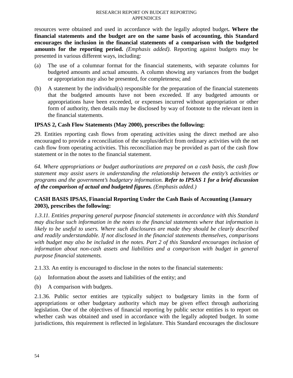resources were obtained and used in accordance with the legally adopted budget**. Where the financial statements and the budget are on the same basis of accounting, this Standard encourages the inclusion in the financial statements of a comparison with the budgeted amounts for the reporting period.** *(Emphasis added)*. Reporting against budgets may be presented in various different ways, including:

- (a) The use of a columnar format for the financial statements, with separate columns for budgeted amounts and actual amounts. A column showing any variances from the budget or appropriation may also be presented, for completeness; and
- (b) A statement by the individual(s) responsible for the preparation of the financial statements that the budgeted amounts have not been exceeded. If any budgeted amounts or appropriations have been exceeded, or expenses incurred without appropriation or other form of authority, then details may be disclosed by way of footnote to the relevant item in the financial statements.

## **IPSAS 2, Cash Flow Statements (May 2000), prescribes the following:**

29. Entities reporting cash flows from operating activities using the direct method are also encouraged to provide a reconciliation of the surplus/deficit from ordinary activities with the net cash flow from operating activities. This reconciliation may be provided as part of the cash flow statement or in the notes to the financial statement.

*64. Where appropriations or budget authorizations are prepared on a cash basis, the cash flow statement may assist users in understanding the relationship between the entity's activities or programs and the government's budgetary information. Refer to IPSAS 1 for a brief discussion of the comparison of actual and budgeted figures. (Emphasis added.)* 

## **CASH BASIS IPSAS, Financial Reporting Under the Cash Basis of Accounting (January 2003), prescribes the following:**

*1.3.11. Entities preparing general purpose financial statements in accordance with this Standard may disclose such information in the notes to the financial statements where that information is likely to be useful to users. Where such disclosures are made they should be clearly described and readily understandable. If not disclosed in the financial statements themselves, comparisons with budget may also be included in the notes. Part 2 of this Standard encourages inclusion of information about non-cash assets and liabilities and a comparison with budget in general purpose financial statements.* 

2.1.33. An entity is encouraged to disclose in the notes to the financial statements:

- (a) Information about the assets and liabilities of the entity; and
- (b) A comparison with budgets.

2.1.36. Public sector entities are typically subject to budgetary limits in the form of appropriations or other budgetary authority which may be given effect through authorizing legislation. One of the objectives of financial reporting by public sector entities is to report on whether cash was obtained and used in accordance with the legally adopted budget. In some jurisdictions, this requirement is reflected in legislature. This Standard encourages the disclosure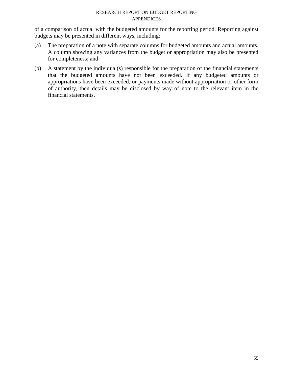of a comparison of actual with the budgeted amounts for the reporting period. Reporting against budgets may be presented in different ways, including:

- (a) The preparation of a note with separate columns for budgeted amounts and actual amounts. A column showing any variances from the budget or appropriation may also be presented for completeness; and
- (b) A statement by the individual(s) responsible for the preparation of the financial statements that the budgeted amounts have not been exceeded. If any budgeted amounts or appropriations have been exceeded, or payments made without appropriation or other form of authority, then details may be disclosed by way of note to the relevant item in the financial statements.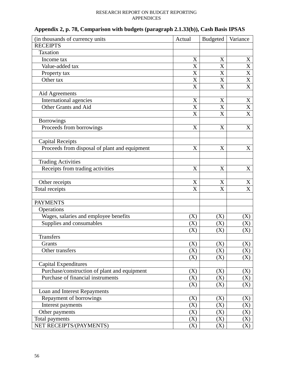| (in thousands of currency units               | Actual                | <b>Budgeted</b> | Variance              |
|-----------------------------------------------|-----------------------|-----------------|-----------------------|
| <b>RECEIPTS</b>                               |                       |                 |                       |
| Taxation                                      |                       |                 |                       |
| Income tax                                    | $\mathbf X$           | X               | X                     |
| Value-added tax                               | $\overline{\text{X}}$ | X               | $\overline{\text{X}}$ |
| Property tax                                  | X                     | X               | $\overline{\text{X}}$ |
| Other tax                                     | X                     | X               | $\overline{\text{X}}$ |
|                                               | $\overline{\text{X}}$ | X               | $\overline{\text{X}}$ |
| Aid Agreements                                |                       |                 |                       |
| <b>International agencies</b>                 | X                     | X               | X                     |
| Other Grants and Aid                          | X                     | X               | $\overline{\text{X}}$ |
|                                               | X                     | X               | $\overline{\text{X}}$ |
| <b>Borrowings</b>                             |                       |                 |                       |
| Proceeds from borrowings                      | X                     | X               | X                     |
|                                               |                       |                 |                       |
| <b>Capital Receipts</b>                       |                       |                 |                       |
| Proceeds from disposal of plant and equipment | $\mathbf X$           | X               | X                     |
|                                               |                       |                 |                       |
| <b>Trading Activities</b>                     |                       |                 |                       |
| Receipts from trading activities              | X                     | X               | X                     |
|                                               |                       |                 |                       |
| Other receipts                                | X                     | X               | $\mathbf X$           |
| Total receipts                                | X                     | X               | $\overline{\text{X}}$ |
|                                               |                       |                 |                       |
| <b>PAYMENTS</b>                               |                       |                 |                       |
| Operations                                    |                       |                 |                       |
| Wages, salaries and employee benefits         | (X)                   | (X)             | (X)                   |
| Supplies and consumables                      | (X)                   | (X)             | (X)                   |
|                                               | $\rm(X)$              | (X)             | (X)                   |
| <b>Transfers</b>                              |                       |                 |                       |
| Grants                                        | (X)                   | (X)             | (X)                   |
| Other transfers                               | (X)                   | (X)             | (X)                   |
|                                               | (X)                   | (X)             | (X)                   |
| <b>Capital Expenditures</b>                   |                       |                 |                       |
| Purchase/construction of plant and equipment  | (X)                   | (X)             | (X)                   |
| Purchase of financial instruments             | (X)                   | (X)             | (X)                   |
|                                               | (X)                   | (X)             | (X)                   |
| Loan and Interest Repayments                  |                       |                 |                       |
| Repayment of borrowings                       | (X)                   | (X)             | (X)                   |
| Interest payments                             | (X)                   | (X)             | (X)                   |
| Other payments                                | (X)                   | (X)             | (X)                   |
| Total payments                                | (X)                   | (X)             | (X)                   |
| NET RECEIPTS/(PAYMENTS)                       | (X)                   | (X)             | (X)                   |

| Appendix 2, p. 78, Comparison with budgets (paragraph 2.1.33(b)), Cash Basis IPSAS |  |
|------------------------------------------------------------------------------------|--|
|------------------------------------------------------------------------------------|--|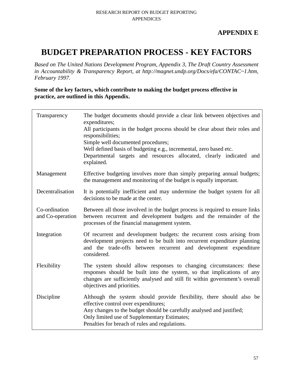# **APPENDIX E**

# **BUDGET PREPARATION PROCESS - KEY FACTORS**

*Based on The United Nations Development Program, Appendix 3, The Draft Country Assessment in Accountability & Transparency Report, at http://magnet.undp.org/Docs/efa/CONTAC~1.htm, February 1997.* 

**Some of the key factors, which contribute to making the budget process effective in practice, are outlined in this Appendix.** 

| Transparency                      | The budget documents should provide a clear link between objectives and<br>expenditures;<br>All participants in the budget process should be clear about their roles and<br>responsibilities;<br>Simple well documented procedures;<br>Well defined basis of budgeting e.g., incremental, zero based etc.<br>Departmental targets and resources allocated, clearly indicated and<br>explained. |
|-----------------------------------|------------------------------------------------------------------------------------------------------------------------------------------------------------------------------------------------------------------------------------------------------------------------------------------------------------------------------------------------------------------------------------------------|
| Management                        | Effective budgeting involves more than simply preparing annual budgets;<br>the management and monitoring of the budget is equally important.                                                                                                                                                                                                                                                   |
| Decentralisation                  | It is potentially inefficient and may undermine the budget system for all<br>decisions to be made at the center.                                                                                                                                                                                                                                                                               |
| Co-ordination<br>and Co-operation | Between all those involved in the budget process is required to ensure links<br>between recurrent and development budgets and the remainder of the<br>processes of the financial management system.                                                                                                                                                                                            |
| Integration                       | Of recurrent and development budgets: the recurrent costs arising from<br>development projects need to be built into recurrent expenditure planning<br>and the trade-offs between recurrent and development expenditure<br>considered.                                                                                                                                                         |
| Flexibility                       | The system should allow responses to changing circumstances: these<br>responses should be built into the system, so that implications of any<br>changes are sufficiently analysed and still fit within government's overall<br>objectives and priorities.                                                                                                                                      |
| Discipline                        | Although the system should provide flexibility, there should also be<br>effective control over expenditures;<br>Any changes to the budget should be carefully analysed and justified;<br>Only limited use of Supplementary Estimates;<br>Penalties for breach of rules and regulations.                                                                                                        |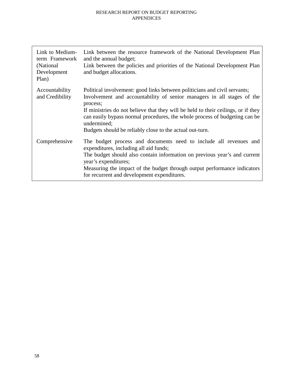| Link to Medium-<br>term Framework<br>(National)<br>Development<br>Plan) | Link between the resource framework of the National Development Plan<br>and the annual budget;<br>Link between the policies and priorities of the National Development Plan<br>and budget allocations.                                                                                                                                                                                                        |
|-------------------------------------------------------------------------|---------------------------------------------------------------------------------------------------------------------------------------------------------------------------------------------------------------------------------------------------------------------------------------------------------------------------------------------------------------------------------------------------------------|
| Accountability<br>and Credibility                                       | Political involvement: good links between politicians and civil servants;<br>Involvement and accountability of senior managers in all stages of the<br>process;<br>If ministries do not believe that they will be held to their ceilings, or if they<br>can easily bypass normal procedures, the whole process of budgeting can be<br>undermined;<br>Budgets should be reliably close to the actual out-turn. |
| Comprehensive                                                           | The budget process and documents need to include all revenues and<br>expenditures, including all aid funds;<br>The budget should also contain information on previous year's and current<br>year's expenditures;<br>Measuring the impact of the budget through output performance indicators<br>for recurrent and development expenditures.                                                                   |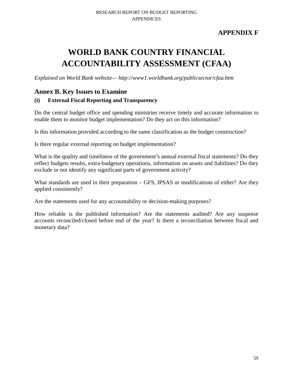# **APPENDIX F**

# **WORLD BANK COUNTRY FINANCIAL ACCOUNTABILITY ASSESSMENT (CFAA)**

*Explained on World Bank website— http://www1.worldbank.org/publicsector/cfaa.htm* 

# **Annex B. Key Issues to Examine**

## **(i) External Fiscal Reporting and Transparency**

Do the central budget office and spending ministries receive timely and accurate information to enable them to monitor budget implementation? Do they act on this information?

Is this information provided according to the same classification as the budget construction?

Is there regular external reporting on budget implementation?

What is the quality and timeliness of the government's annual external fiscal statements? Do they reflect budgets results, extra-budgetary operations, information on assets and liabilities? Do they exclude or not identify any significant parts of government activity?

What standards are used in their preparation – GFS, IPSAS or modifications of either? Are they applied consistently?

Are the statements used for any accountability or decision-making purposes?

How reliable is the published information? Are the statements audited? Are any suspense accounts reconciled/closed before end of the year? Is there a reconciliation between fiscal and monetary data?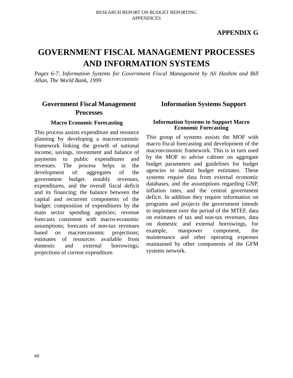## **APPENDIX G**

# **GOVERNMENT FISCAL MANAGEMENT PROCESSES AND INFORMATION SYSTEMS**

*Pages 6-7, Information Systems for Government Fiscal Management by Ali Hashim and Bill Allan, The World Bank, 1999* 

# **Government Fiscal Management Processes**

#### **Macro Economic Forecasting**

This process assists expenditure and resource planning by developing a macroeconomic framework linking the growth of national income, savings, investment and balance of payments to public expenditures and revenues. The process helps in the development of: aggregates of the government budget. notably revenues, expenditures, and the overall fiscal deficit and its financing; the balance between the capital and recurrent components of the budget: composition of expenditures by the main sector spending agencies; revenue forecasts consistent with macro-economic assumptions; forecasts of non-tax revenues based on macroeconomic projections; estimates of resources available from domestic and external borrowings; projections of current expenditure.

## **Information Systems Support**

#### **Information Systems to Support Macro Economic Forecasting**

This group of systems assists the MOF with macro fiscal forecasting and development of the macroeconomic framework. This is in turn used by the MOF to advise cabinet on aggregate budget parameters and guidelines for budget agencies to submit budget estimates. These systems require data from external economic databases, and the assumptions regarding GNP, inflation rates, and the central government deficit. In addition they require information on programs and projects the government intends to implement over the period of the MTEF, data on estimates of tax and non-tax revenues, data on domestic and external borrowings, for example, manpower component, the maintenance and other operating expenses maintained by other components of the GFM systems network.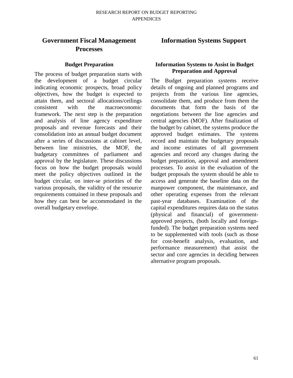#### **Budget Preparation**

The process of budget preparation starts with the development of a budget circular indicating economic prospects, broad policy objectives, how the budget is expected to attain them, and sectoral allocations/ceilings consistent with the macroeconomic framework. The next step is the preparation and analysis of line agency expenditure proposals and revenue forecasts and their consolidation into an annual budget document after a series of discussions at cabinet level, between line ministries, the MOF, the budgetary committees of parliament and approval by the legislature. These discussions focus on how the budget proposals would meet the policy objectives outlined in the budget circular, on inter-se priorities of the various proposals, the validity of the resource requirements contained in these proposals and how they can best be accommodated in the overall budgetary envelope.

# **Information Systems Support**

#### **Information Systems to Assist in Budget Preparation and Approval**

The Budget preparation systems receive details of ongoing and planned programs and projects from the various line agencies, consolidate them, and produce from them the documents that form the basis of the negotiations between the line agencies and central agencies (MOF). After finalization of the budget by cabinet, the systems produce the approved budget estimates. The systems record and maintain the budgetary proposals and income estimates of all government agencies and record any changes during the budget preparation, approval and amendment processes. To assist in the evaluation of the budget proposals the system should be able to access and generate the baseline data on the manpower component, the maintenance, and other operating expenses from the relevant past-year databases. Examination of the capital expenditures requires data on the status (physical and financial) of governmentapproved projects, (both locally and foreignfunded). The budget preparation systems need to be supplemented with tools (such as those for cost-benefit analysis, evaluation, and performance measurement) that assist the sector and core agencies in deciding between alternative program proposals.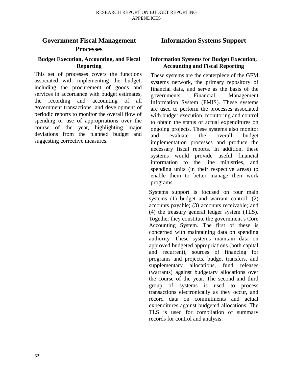#### **Budget Execution, Accounting, and Fiscal Reporting**

This set of processes covers the functions associated with implementing the budget, including the procurement of goods and services in accordance with budget estimates, the recording and accounting of all government transactions, and development of periodic reports to monitor the overall flow of spending or use of appropriations over the course of the year, highlighting major deviations from the planned budget and suggesting corrective measures.

# **Information Systems Support**

## **Information Systems for Budget Execution, Accounting and Fiscal Reporting**

These systems are the centerpiece of the GFM systems network, the primary repository of financial data, and serve as the basis of the governments Financial Management Information System (FMIS). These systems are used to perform the processes associated with budget execution, monitoring and control to obtain the status of actual expenditures on ongoing projects. These systems also monitor and evaluate the overall budget implementation processes and produce the necessary fiscal reports. In addition, these systems would provide useful financial information to the line ministries, and spending units (in their respective areas) to enable them to better manage their work programs.

Systems support is focused on four main systems (1) budget and warrant control; (2) accounts payable; (3) accounts receivable; and (4) the treasury general ledger system (TLS). Together they constitute the government's Core Accounting System. The first of these is concerned with maintaining data on spending authority. These systems maintain data on approved budgeted appropriations (both capital and recurrent), sources of financing for programs and projects, budget transfers, and supplementary allocations, fund releases (warrants) against budgetary allocations over the course of the year. The second and third group of systems is used to process transactions electronically as they occur, and record data on commitments and actual expenditures against budgeted allocations. The TLS is used for compilation of summary records for control and analysis.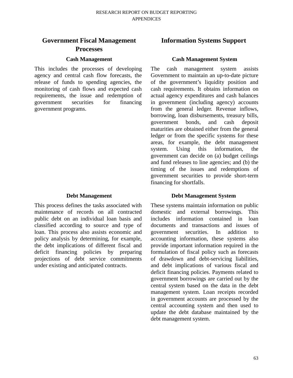#### **Cash Management**

This includes the processes of developing agency and central cash flow forecasts, the release of funds to spending agencies, the monitoring of cash flows and expected cash requirements, the issue and redemption of government securities for financing government programs.

#### **Debt Management**

This process defines the tasks associated with maintenance of records on all contracted public debt on an individual loan basis and classified according to source and type of loan. This process also assists economic and policy analysis by determining, for example, the debt implications of different fiscal and deficit financing policies by preparing projections of debt service commitments under existing and anticipated contracts.

## **Information Systems Support**

#### **Cash Management System**

The cash management system assists Government to maintain an up-to-date picture of the government's liquidity position and cash requirements. It obtains information on actual agency expenditures and cash balances in government (including agency) accounts from the general ledger. Revenue inflows, borrowing, loan disbursements, treasury bills, government bonds, and cash deposit maturities are obtained either from the general ledger or from the specific systems for these areas, for example, the debt management system. Using this information, the government can decide on (a) budget ceilings and fund releases to line agencies; and (b) the timing of the issues and redemptions of government securities to provide short-term financing for shortfalls.

#### **Debt Management System**

These systems maintain information on public domestic and external borrowings. This includes information contained in loan documents and transactions and issues of government securities. In addition to accounting information, these systems also provide important information required in the formulation of fiscal policy such as forecasts of drawdown and debt-servicing liabilities, and debt implications of various fiscal and deficit financing policies. Payments related to government borrowings are carried out by the central system based on the data in the debt management system. Loan receipts recorded in government accounts are processed by the central accounting system and then used to update the debt database maintained by the debt management system.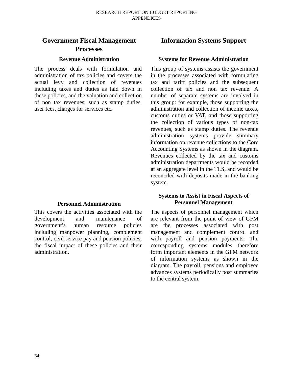#### **Revenue Administration**

The process deals with formulation and administration of tax policies and covers the actual levy and collection of revenues including taxes and duties as laid down in these policies, and the valuation and collection of non tax revenues, such as stamp duties, user fees, charges for services etc.

#### **Personnel Administration**

This covers the activities associated with the development and maintenance of government's human resource policies including manpower planning, complement control, civil service pay and pension policies, the fiscal impact of these policies and their administration.

# **Information Systems Support**

#### **Systems for Revenue Administration**

This group of systems assists the government in the processes associated with formulating tax and tariff policies and the subsequent collection of tax and non tax revenue. A number of separate systems are involved in this group: for example, those supporting the administration and collection of income taxes, customs duties or VAT, and those supporting the collection of various types of non-tax revenues, such as stamp duties. The revenue administration systems provide summary information on revenue collections to the Core Accounting Systems as shown in the diagram. Revenues collected by the tax and customs administration departments would be recorded at an aggregate level in the TLS, and would be reconciled with deposits made in the banking system.

#### **Systems to Assist in Fiscal Aspects of Personnel Management**

The aspects of personnel management which are relevant from the point of view of GFM are the processes associated with post management and complement control and with payroll and pension payments. The corresponding systems modules therefore form important elements in the GFM network of information systems as shown in the diagram. The payroll, pensions and employee advances systems periodically post summaries to the central system.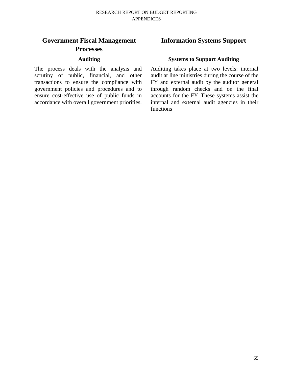# **Government Fiscal Management Processes**

## **Auditing**

The process deals with the analysis and scrutiny of public, financial, and other transactions to ensure the compliance with government policies and procedures and to ensure cost-effective use of public funds in accordance with overall government priorities.

# **Information Systems Support**

### **Systems to Support Auditing**

Auditing takes place at two levels: internal audit at line ministries during the course of the FY and external audit by the auditor general through random checks and on the final accounts for the FY. These systems assist the internal and external audit agencies in their functions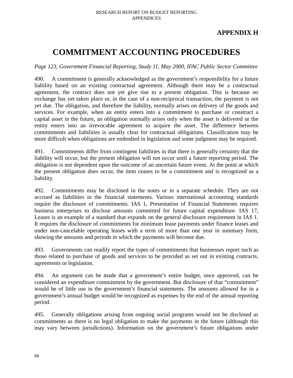# **APPENDIX H**

# **COMMITMENT ACCOUNTING PROCEDURES**

*Page 123, Government Financial Reporting, Study 11, May 2000, IFAC Public Sector Committee* 

490. A commitment is generally acknowledged as the government's responsibility for a future liability based on an existing contractual agreement. Although there may be a contractual agreement, the contract does not yet give rise to a present obligation. This is because no exchange has yet taken place or, in the case of a non-reciprocal transaction, the payment is not yet due. The obligation, and therefore the liability, normally arises on delivery of the goods and services. For example, when an entity enters into a commitment to purchase or construct a capital asset in the future, an obligation normally arises only when the asset is delivered or the entity enters into an irrevocable agreement to acquire the asset. The difference between commitments and liabilities is usually clear for contractual obligations. Classification may be more difficult when obligations are embodied in legislation and some judgment may be required.

491. Commitments differ from contingent liabilities in that there is generally certainty that the liability will occur, but the present obligation will not occur until a future reporting period. The obligation is not dependent upon the outcome of an uncertain future event. At the point at which the present obligation does occur, the item ceases to be a commitment and is recognized as a liability.

492. Commitments may be disclosed in the notes or in a separate schedule. They are not accrued as liabilities in the financial statements. Various international accounting standards require the disclosure of commitments. IAS 1, Presentation of Financial Statements requires business enterprises to disclose amounts committed for future capital expenditure. IAS 17, Leases is an example of a standard that expands on the general disclosure requirement in IAS 1. It requires the disclosure of commitments for minimum lease payments under finance leases and under non-cancelable operating leases with a term of more than one year in summary form, showing the amounts and periods in which the payments will become due.

493. Governments can readily report the types of commitments that businesses report such as those related to purchase of goods and services to be provided as set out in existing contracts, agreements or legislation.

494. An argument can be made that a government's entire budget, once approved, can be considered an expenditure commitment by the government. But disclosure of that "commitment" would be of little use in the government's financial statements. The amounts allowed for in a government's annual budget would be recognized as expenses by the end of the annual reporting period.

495. Generally obligations arising from ongoing social programs would not be disclosed as commitments as there is no legal obligation to make the payments in the future (although this may vary between jurisdictions). Information on the government's future obligations under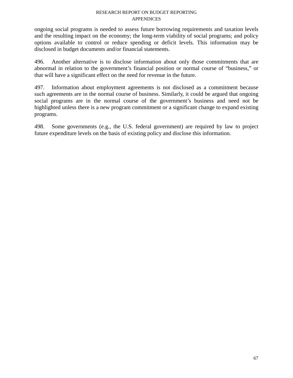ongoing social programs is needed to assess future borrowing requirements and taxation levels and the resulting impact on the economy; the long-term viability of social programs; and policy options available to control or reduce spending or deficit levels. This information may be disclosed in budget documents and/or financial statements.

496. Another alternative is to disclose information about only those commitments that are abnormal in relation to the government's financial position or normal course of "business," or that will have a significant effect on the need for revenue in the future.

497. Information about employment agreements is not disclosed as a commitment because such agreements are in the normal course of business. Similarly, it could be argued that ongoing social programs are in the normal course of the government's business and need not be highlighted unless there is a new program commitment or a significant change to expand existing programs.

498. Some governments (e.g., the U.S. federal government) are required by law to project future expenditure levels on the basis of existing policy and disclose this information.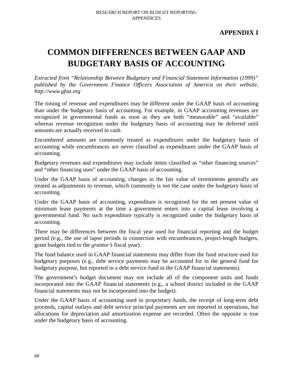# **APPENDIX I**

# **COMMON DIFFERENCES BETWEEN GAAP AND BUDGETARY BASIS OF ACCOUNTING**

*Extracted from "Relationship Between Budgetary and Financial Statement Information (1999)" published by the Government Finance Officers Association of America on their website, http://www.gfoa.org* 

The timing of revenue and expenditures may be different under the GAAP basis of accounting than under the budgetary basis of accounting. For example, in GAAP accounting revenues are recognized in governmental funds as soon as they are both "measurable" and "available" whereas revenue recognition under the budgetary basis of accounting may be deferred until amounts are actually received in cash.

Encumbered amounts are commonly treated as expenditures under the budgetary basis of accounting while encumbrances are never classified as expenditures under the GAAP basis of accounting.

Budgetary revenues and expenditures may include items classified as "other financing sources" and "other financing uses" under the GAAP basis of accounting.

Under the GAAP basis of accounting, changes in the fair value of investments generally are treated as adjustments to revenue, which commonly is not the case under the budgetary basis of accounting.

Under the GAAP basis of accounting, expenditure is recognized for the net present value of minimum lease payments at the time a government enters into a capital lease involving a governmental fund. No such expenditure typically is recognized under the budgetary basis of accounting.

There may be differences between the fiscal year used for financial reporting and the budget period (e.g., the use of lapse periods in connection with encumbrances, project-length budgets, grant budgets tied to the *grantor's* fiscal year).

The fund balance used in GAAP financial statements may differ from the fund structure used for budgetary purposes (e.g., debt service payments may be accounted for in the general fund for budgetary purpose, but reported in a debt service fund in the GAAP financial statements).

The government's budget document may not include all of the component units and funds incorporated into the GAAP financial statements (e.g., a school district included in the GAAP financial statements may not be incorporated into the budget).

Under the GAAP basis of accounting used in proprietary funds, the receipt of long-term debt proceeds, capital outlays and debt service principal payments are not reported in operations, but allocations for depreciation and amortization expense are recorded. Often the opposite is true under the budgetary basis of accounting.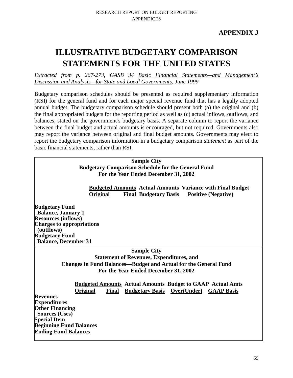# **ILLUSTRATIVE BUDGETARY COMPARISON STATEMENTS FOR THE UNITED STATES**

*Extracted from p. 267-273, GASB 34 Basic Financial Statements—and Management's Discussion and Analysis—for State and Local Governments, June 1999* 

Budgetary comparison schedules should be presented as required supplementary information (RSI) for the general fund and for each major special revenue fund that has a legally adopted annual budget. The budgetary comparison schedule should present both (a) the original and (b) the final appropriated budgets for the reporting period as well as (c) actual inflows, outflows, and balances, stated on the government's budgetary basis. A separate column to report the variance between the final budget and actual amounts is encouraged, but not required. Governments also may report the variance between original and final budget amounts. Governments may elect to report the budgetary comparison information in a budgetary comparison *statement* as part of the basic financial statements, rather than RSI.

## **Sample City Budgetary Comparison Schedule for the General Fund For the Year Ended December 31, 2002**

 **Budgeted Amounts Actual Amounts Variance with Final Budget Original Final Budgetary Basis Positive (Negative)**

**Budgetary Fund Balance, January 1 Resources (inflows) Charges to appropriations (outflows) Budgetary Fund Balance, December 31** 

**Sample City** 

**Statement of Revenues, Expenditures, and Changes in Fund Balances—Budget and Actual for the General Fund For the Year Ended December 31, 2002** 

 **Budgeted Amounts Actual Amounts Budget to GAAP Actual Amts Original Final Budgetary Basis Over(Under) GAAP Basis**

**Revenues Expenditures Other Financing Sources (Uses) Special Item Beginning Fund Balances Ending Fund Balances**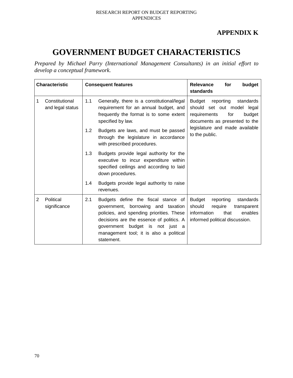# **APPENDIX K**

# **GOVERNMENT BUDGET CHARACTERISTICS**

*Prepared by Michael Parry (International Management Consultants) in an initial effort to develop a conceptual framework.* 

| <b>Characteristic</b> |                                    | <b>Consequent features</b> |                                                                                                                                                                                                                                                               | budget<br><b>Relevance</b><br>for<br>standards                                                                                                  |
|-----------------------|------------------------------------|----------------------------|---------------------------------------------------------------------------------------------------------------------------------------------------------------------------------------------------------------------------------------------------------------|-------------------------------------------------------------------------------------------------------------------------------------------------|
| 1                     | Constitutional<br>and legal status | 1.1                        | Generally, there is a constitutional/legal<br>requirement for an annual budget, and<br>frequently the format is to some extent<br>specified by law.                                                                                                           | reporting<br><b>Budget</b><br>standards<br>should set out model legal<br>budget<br>requirements<br>for<br>documents as presented to the         |
|                       |                                    | 1.2                        | Budgets are laws, and must be passed<br>through the legislature in accordance<br>with prescribed procedures.                                                                                                                                                  | legislature and made available<br>to the public.                                                                                                |
|                       |                                    | 1.3                        | Budgets provide legal authority for the<br>executive to incur expenditure within<br>specified ceilings and according to laid<br>down procedures.                                                                                                              |                                                                                                                                                 |
|                       |                                    | 1.4                        | Budgets provide legal authority to raise<br>revenues.                                                                                                                                                                                                         |                                                                                                                                                 |
| 2                     | Political<br>significance          | 2.1                        | Budgets define the fiscal stance of<br>government, borrowing and taxation<br>policies, and spending priorities. These<br>decisions are the essence of politics. A<br>government budget is not just a<br>management tool; it is also a political<br>statement. | <b>Budget</b><br>reporting<br>standards<br>require<br>should<br>transparent<br>information<br>that<br>enables<br>informed political discussion. |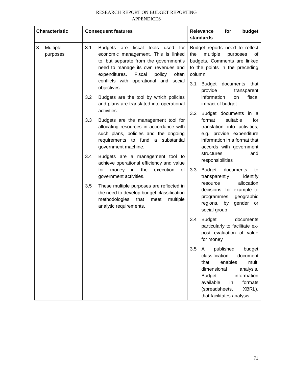| <b>Characteristic</b>     | <b>Consequent features</b>                                                                                                                                                                                                                                              | <b>Relevance</b><br>for<br>budget<br>standards                                                                                                                                                                                               |  |  |
|---------------------------|-------------------------------------------------------------------------------------------------------------------------------------------------------------------------------------------------------------------------------------------------------------------------|----------------------------------------------------------------------------------------------------------------------------------------------------------------------------------------------------------------------------------------------|--|--|
| Multiple<br>3<br>purposes | 3.1<br>fiscal tools used for<br><b>Budgets</b><br>are<br>economic management. This is linked<br>to, but separate from the government's<br>need to manage its own revenues and<br>expenditures.<br>Fiscal<br>policy<br>often<br>conflicts with operational and<br>social | Budget reports need to reflect<br>multiple<br>purposes<br>the<br>of<br>budgets. Comments are linked<br>to the points in the preceding<br>column:                                                                                             |  |  |
|                           | objectives.<br>3.2<br>Budgets are the tool by which policies<br>and plans are translated into operational                                                                                                                                                               | 3.1<br>Budget<br>documents<br>that<br>provide<br>transparent<br>information<br>fiscal<br>on<br>impact of budget                                                                                                                              |  |  |
|                           | activities.<br>3.3<br>Budgets are the management tool for<br>allocating resources in accordance with<br>such plans, policies and the ongoing<br>requirements to fund a substantial<br>government machine.                                                               | 3.2<br>Budget documents in a<br>suitable<br>format<br>for<br>translation into activities,<br>e.g. provide expenditure<br>information in a format that<br>accords with government<br>structures<br>and                                        |  |  |
|                           | 3.4<br>Budgets are a management tool to<br>achieve operational efficiency and value<br>the<br>for<br>execution<br>money<br>in<br>οf                                                                                                                                     | responsibilities<br>3.3<br>Budget<br>documents<br>to                                                                                                                                                                                         |  |  |
|                           | government activities.<br>3.5<br>These multiple purposes are reflected in<br>the need to develop budget classification<br>methodologies<br>that<br>multiple<br>meet<br>analytic requirements.                                                                           | transparently<br>identify<br>allocation<br>resource<br>decisions, for example to<br>geographic<br>programmes,<br>regions,<br>by<br>gender or<br>social group                                                                                 |  |  |
|                           |                                                                                                                                                                                                                                                                         | 3.4<br><b>Budget</b><br>documents<br>particularly to facilitate ex-<br>post evaluation of value<br>for money                                                                                                                                 |  |  |
|                           |                                                                                                                                                                                                                                                                         | 3.5<br>published<br>budget<br>A<br>classification<br>document<br>multi<br>that<br>enables<br>dimensional<br>analysis.<br>information<br><b>Budget</b><br>available<br>in<br>formats<br>(spreadsheets,<br>XBRL),<br>that facilitates analysis |  |  |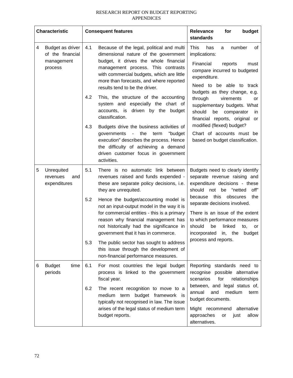| <b>Characteristic</b> |                                                               |     | <b>Consequent features</b>                                                                                                                                                                                                                                                                 | Relevance<br>budget<br>for<br>standards                                                                                                                                                                         |  |  |
|-----------------------|---------------------------------------------------------------|-----|--------------------------------------------------------------------------------------------------------------------------------------------------------------------------------------------------------------------------------------------------------------------------------------------|-----------------------------------------------------------------------------------------------------------------------------------------------------------------------------------------------------------------|--|--|
| 4                     | Budget as driver<br>of the financial<br>management<br>process | 4.1 | Because of the legal, political and multi<br>dimensional nature of the government<br>budget, it drives the whole financial<br>management process. This contrasts<br>with commercial budgets, which are little<br>more than forecasts, and where reported<br>results tend to be the driver. | <b>This</b><br>has<br>number<br>0f<br>a<br>implications:<br>Financial<br>reports<br>must<br>compare incurred to budgeted<br>expenditure.<br>Need to be able to track<br>budgets as they change, e.g.            |  |  |
|                       |                                                               | 4.2 | This, the structure of the accounting<br>system and especially the chart of<br>accounts, is driven by the budget<br>classification.                                                                                                                                                        | through<br>virements<br>or<br>supplementary budgets. What<br>should<br>be<br>comparator<br>in<br>financial reports, original or                                                                                 |  |  |
|                       |                                                               | 4.3 | Budgets drive the business activities of<br>the<br>"budget<br>governments<br>term<br>execution" describes the process. Hence<br>the difficulty of achieving a demand<br>driven customer focus in government<br>activities.                                                                 | modified (flexed) budget?<br>Chart of accounts must be<br>based on budget classification.                                                                                                                       |  |  |
| 5                     | Unrequited<br>and<br>revenues<br>expenditures                 | 5.1 | There is no automatic link between<br>revenues raised and funds expended -<br>these are separate policy decisions, i.e.<br>they are unrequited.                                                                                                                                            | Budgets need to clearly identify<br>separate revenue raising and<br>expenditure decisions - these<br>should not<br>be<br>"netted<br>off"                                                                        |  |  |
|                       |                                                               | 5.2 | Hence the budget/accounting model is<br>not an input-output model in the way it is<br>for commercial entities - this is a primary<br>reason why financial management has<br>not historically had the significance in<br>government that it has in commerce.                                | this<br>obscures<br>the<br>because<br>separate decisions involved.<br>There is an issue of the extent<br>to which performance measures<br>should<br>linked<br>be<br>to.<br>or<br>incorporated<br>in, the budget |  |  |
|                       |                                                               | 5.3 | The public sector has sought to address<br>this issue through the development of<br>non-financial performance measures.                                                                                                                                                                    | process and reports.                                                                                                                                                                                            |  |  |
| 6                     | <b>Budget</b><br>time<br>periods                              | 6.1 | For most countries the legal budget<br>process is linked to the government<br>fiscal year.                                                                                                                                                                                                 | Reporting standards need to<br>possible alternative<br>recognise<br>for<br>scenarios<br>relationships                                                                                                           |  |  |
|                       |                                                               | 6.2 | The recent recognition to move to a<br>budget framework<br>medium term<br>İS<br>typically not recognised in law. The issue<br>arises of the legal status of medium term<br>budget reports.                                                                                                 | between, and legal status of,<br>medium<br>annual<br>and<br>term<br>budget documents.<br>Might recommend<br>alternative<br>allow<br>approaches<br>or<br>just<br>alternatives.                                   |  |  |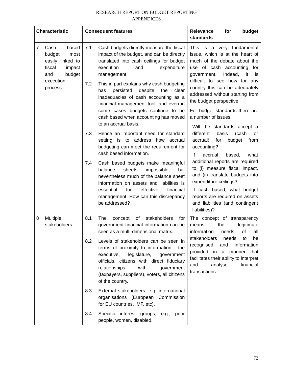| <b>Characteristic</b>                                                                         | <b>Consequent features</b>                                                                                                                                                                                                                                                                 | budget<br><b>Relevance</b><br>for<br>standards                                                                                                                                               |  |  |
|-----------------------------------------------------------------------------------------------|--------------------------------------------------------------------------------------------------------------------------------------------------------------------------------------------------------------------------------------------------------------------------------------------|----------------------------------------------------------------------------------------------------------------------------------------------------------------------------------------------|--|--|
| 7<br>Cash<br>based<br>budget<br>most<br>easily linked to<br>fiscal<br>impact<br>budget<br>and | Cash budgets directly measure the fiscal<br>7.1<br>impact of the budget, and can be directly<br>translated into cash ceilings for budget<br>expenditure<br>execution<br>and<br>management.                                                                                                 | This is a very fundamental<br>issue, which is at the heart of<br>much of the debate about the<br>use of cash accounting for<br>Indeed,<br>government.<br>it<br><b>is</b>                     |  |  |
| execution<br>process                                                                          | 7.2<br>This in part explains why cash budgeting<br>persisted<br>despite<br>the<br>has<br>clear<br>inadequacies of cash accounting as a<br>financial management tool, and even in                                                                                                           | difficult to see how for any<br>country this can be adequately<br>addressed without starting from<br>the budget perspective.                                                                 |  |  |
|                                                                                               | some cases budgets continue to be<br>cash based when accounting has moved<br>to an accrual basis.                                                                                                                                                                                          | For budget standards there are<br>a number of issues:<br>Will the standards accept a                                                                                                         |  |  |
|                                                                                               | 7.3<br>Hence an important need for standard<br>setting is to address how<br>accrual<br>budgeting can meet the requirement for<br>cash based information.                                                                                                                                   | different<br>(cash<br>basis<br>or<br>budget<br>accrual)<br>for<br>from<br>accounting?<br>lf<br>accrual<br>based,<br>what                                                                     |  |  |
|                                                                                               | 7.4<br>Cash based budgets make meaningful<br>balance<br>sheets<br>impossible,<br>but<br>nevertheless much of the balance sheet<br>information on assets and liabilities is<br>for<br>effective<br>financial<br>essential<br>management. How can this discrepancy                           | additional reports are required<br>to (i) measure fiscal impact,<br>and (ii) translate budgets into<br>expenditure ceilings?<br>If cash based, what budget<br>reports are required on assets |  |  |
|                                                                                               | be addressed?                                                                                                                                                                                                                                                                              | and liabilities (and contingent<br>liabilities)?                                                                                                                                             |  |  |
| Multiple<br>8<br>stakeholders                                                                 | 8.1<br>stakeholders<br>The<br>of<br>for<br>concept<br>government financial information can be<br>seen as a multi-dimensional matrix.                                                                                                                                                       | The concept of transparency<br>the<br>legitimate<br>means<br>information<br>οf<br>needs<br>all                                                                                               |  |  |
|                                                                                               | Levels of stakeholders can be seen in<br>8.2<br>terms of proximity to information - the<br>executive,<br>legislature,<br>government<br>officials, citizens with direct fiduciary<br>relationships<br>with<br>government<br>(taxpayers, suppliers), voters, all citizens<br>of the country. | stakeholders<br>needs<br>be<br>to<br>recognised<br>and<br>information<br>provided in a manner that<br>facilitates their ability to interpret<br>financial<br>analyse<br>and<br>transactions. |  |  |
|                                                                                               | 8.3<br>External stakeholders, e.g. international<br>organisations (European Commission<br>for EU countries, IMF, etc).                                                                                                                                                                     |                                                                                                                                                                                              |  |  |
|                                                                                               | 8.4<br>Specific interest groups, e.g.,<br>poor<br>people, women, disabled.                                                                                                                                                                                                                 |                                                                                                                                                                                              |  |  |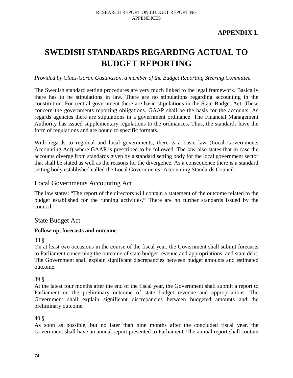# **APPENDIX L**

# **SWEDISH STANDARDS REGARDING ACTUAL TO BUDGET REPORTING**

### *Provided by Claes-Goran Gustavsson, a member of the Budget Reporting Steering Committee.*

The Swedish standard setting procedures are very much linked to the legal framework. Basically there has to be stipulations in law. There are no stipulations regarding accounting in the constitution. For central government there are basic stipulations in the State Budget Act. These concern the governments reporting obligations. GAAP shall be the basis for the accounts. As regards agencies there are stipulations in a government ordinance. The Financial Management Authority has issued supplementary regulations to the ordinances. Thus, the standards have the form of regulations and are bound to specific formats.

With regards to regional and local governments, there is a basic law (Local Governments Accounting Act) where GAAP is prescribed to be followed. The law also states that in case the accounts diverge from standards given by a standard setting body for the local government sector that shall be stated as well as the reasons for the divergence. As a consequence there is a standard setting body established called the Local Governments' Accounting Standards Council.

## Local Governments Accounting Act

The law states: "The report of the directors will contain a statement of the outcome related to the budget established for the running activities." There are no further standards issued by the council.

## State Budget Act

### **Follow-up, forecasts and outcome**

### 38 §

On at least two occasions in the course of the fiscal year, the Government shall submit forecasts to Parliament concerning the outcome of state budget revenue and appropriations, and state debt. The Government shall explain significant discrepancies between budget amounts and estimated outcome.

### 39 §

At the latest four months after the end of the fiscal year, the Government shall submit a report to Parliament on the preliminary outcome of state budget revenue and appropriations. The Government shall explain significant discrepancies between budgeted amounts and the preliminary outcome.

### 40 §

As soon as possible, but no later than nine months after the concluded fiscal year, the Government shall have an annual report presented to Parliament. The annual report shall contain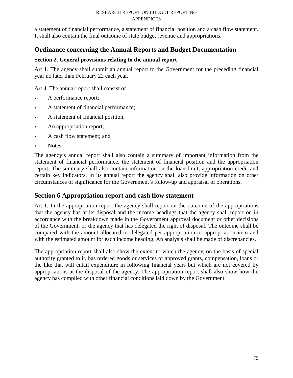a statement of financial performance, a statement of financial position and a cash flow statement. It shall also contain the final outcome of state budget revenue and appropriations.

# **Ordinance concerning the Annual Reports and Budget Documentation**

## **Section 2. General provisions relating to the annual report**

Art 1. The agency shall submit an annual report to the Government for the preceding financial year no later than February 22 each year.

Art 4. The annual report shall consist of

- A performance report;
- A statement of financial performance;
- A statement of financial position;
- An appropriation report;
- A cash flow statement; and
- Notes.

The agency's annual report shall also contain a summary of important information from the statement of financial performance, the statement of financial position and the appropriation report. The summary shall also contain information on the loan limit, appropriation credit and certain key indicators. In its annual report the agency shall also provide information on other circumstances of significance for the Government's follow-up and appraisal of operations.

# **Section 6 Appropriation report and cash flow statement**

Art 1. In the appropriation report the agency shall report on the outcome of the appropriations that the agency has at its disposal and the income headings that the agency shall report on in accordance with the breakdown made in the Government approval document or other decisions of the Government, or the agency that has delegated the right of disposal. The outcome shall be compared with the amount allocated or delegated per appropriation or appropriation item and with the estimated amount for each income heading. An analysis shall be made of discrepancies.

The appropriation report shall also show the extent to which the agency, on the basis of special authority granted to it, has ordered goods or services or approved grants, compensation, loans or the like that will entail expenditure in following financial years but which are not covered by appropriations at the disposal of the agency. The appropriation report shall also show how the agency has complied with other financial conditions laid down by the Government.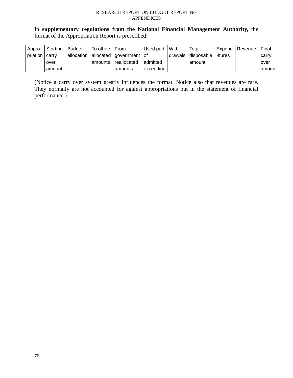In **supplementary regulations from the National Financial Management Authority,** the format of the Appropriation Report is prescribed:

| Appro-          | Starting | Budget     | To others   From |                             | Used part   With- | Total                          | Expend   Revenue | Final  |
|-----------------|----------|------------|------------------|-----------------------------|-------------------|--------------------------------|------------------|--------|
| priation Lcarry |          | allocation |                  | allocated   government   of |                   | drawals   disposable   -itures |                  | carry  |
|                 | over     |            | amounts          | reallocated                 | admitted          | amount                         |                  | over   |
|                 | amount   |            |                  | amounts                     | exceeding         |                                |                  | amount |

(Notice a carry over system greatly influences the format. Notice also that revenues are rare. They normally are not accounted for against appropriations but in the statement of financial performance.)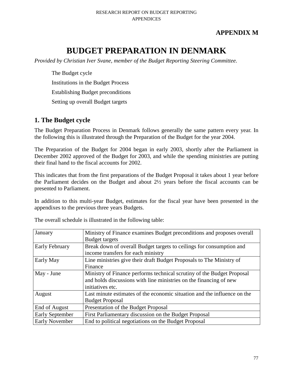# **APPENDIX M**

# **BUDGET PREPARATION IN DENMARK**

*Provided by Christian Iver Svane, member of the Budget Reporting Steering Committee.* 

The Budget cycle Institutions in the Budget Process Establishing Budget preconditions Setting up overall Budget targets

# **1. The Budget cycle**

The Budget Preparation Process in Denmark follows generally the same pattern every year. In the following this is illustrated through the Preparation of the Budget for the year 2004.

The Preparation of the Budget for 2004 began in early 2003, shortly after the Parliament in December 2002 approved of the Budget for 2003, and while the spending ministries are putting their final hand to the fiscal accounts for 2002.

This indicates that from the first preparations of the Budget Proposal it takes about 1 year before the Parliament decides on the Budget and about 2½ years before the fiscal accounts can be presented to Parliament.

In addition to this multi-year Budget, estimates for the fiscal year have been presented in the appendixes to the previous three years Budgets.

| January                | Ministry of Finance examines Budget preconditions and proposes overall   |
|------------------------|--------------------------------------------------------------------------|
|                        | <b>Budget targets</b>                                                    |
| Early February         | Break down of overall Budget targets to ceilings for consumption and     |
|                        | income transfers for each ministry                                       |
| Early May              | Line ministries give their draft Budget Proposals to The Ministry of     |
|                        | Finance                                                                  |
| May - June             | Ministry of Finance performs technical scrutiny of the Budget Proposal   |
|                        | and holds discussions with line ministries on the financing of new       |
|                        | initiatives etc.                                                         |
| August                 | Last minute estimates of the economic situation and the influence on the |
|                        | <b>Budget Proposal</b>                                                   |
| End of August          | Presentation of the Budget Proposal                                      |
| <b>Early September</b> | First Parliamentary discussion on the Budget Proposal                    |
| <b>Early November</b>  | End to political negotiations on the Budget Proposal                     |

The overall schedule is illustrated in the following table: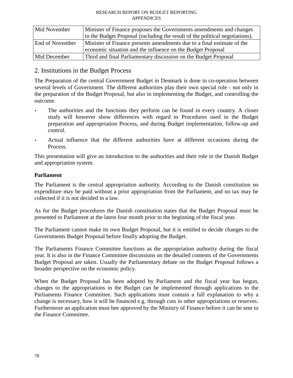| Mid November           | Minister of Finance proposes the Governments amendments and changes          |  |  |
|------------------------|------------------------------------------------------------------------------|--|--|
|                        | to the Budget Proposal (including the result of the political negotiations). |  |  |
| <b>End of November</b> | Minister of Finance presents amendments due to a final estimate of the       |  |  |
|                        | economic situation and the influence on the Budget Proposal                  |  |  |
| Mid December           | Third and final Parliamentary discussion on the Budget Proposal              |  |  |

# 2. Institutions in the Budget Process

The Preparation of the central Government Budget in Denmark is done in co-operation between several levels of Government. The different authorities play their own special role - not only in the preparation of the Budget Proposal, but also in implementing the Budget, and controlling the outcome.

- The authorities and the functions they perform can be found in every country. A closer study will however show differences with regard to Procedures used in the Budget preparation and appropriation Process, and during Budget implementation, follow-up and control.
- Actual influence that the different authorities have at different occasions during the Process.

This presentation will give an introduction to the authorities and their role in the Danish Budget and appropriation system.

## **Parliament**

The Parliament is the central appropriation authority. According to the Danish constitution no expenditure may be paid without a prior appropriation from the Parliament, and no tax may be collected if it is not decided in a law.

As for the Budget procedures the Danish constitution states that the Budget Proposal must be presented to Parliament at the latest four month prior to the beginning of the fiscal year.

The Parliament cannot make its own Budget Proposal, but it is entitled to decide changes to the Governments Budget Proposal before finally adopting the Budget.

The Parliaments Finance Committee functions as the appropriation authority during the fiscal year. It is also in the Finance Committee discussions on the detailed contents of the Governments Budget Proposal are taken. Usually the Parliamentary debate on the Budget Proposal follows a broader perspective on the economic policy.

When the Budget Proposal has been adopted by Parliament and the fiscal year has begun, changes to the appropriations in the Budget can be implemented through applications to the Parliaments Finance Committee. Such applications must contain a full explanation to why a change is necessary, how it will be financed e.g. through cuts in other appropriations or reserves. Furthermore an application must bee approved by the Ministry of Finance before it can be sent to the Finance Committee.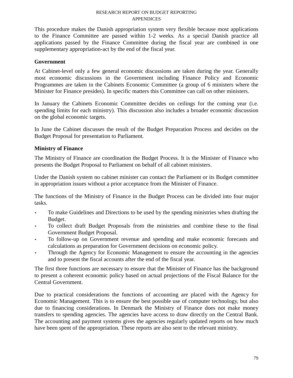This procedure makes the Danish appropriation system very flexible because most applications to the Finance Committee are passed within 1-2 weeks. As a special Danish practice all applications passed by the Finance Committee during the fiscal year are combined in one supplementary appropriation-act by the end of the fiscal year.

## **Government**

At Cabinet-level only a few general economic discussions are taken during the year. Generally most economic discussions in the Government including Finance Policy and Economic Programmes are taken in the Cabinets Economic Committee (a group of 6 ministers where the Minister for Finance presides). In specific matters this Committee can call on other ministers.

In January the Cabinets Economic Committee decides on ceilings for the coming year (i.e. spending limits for each ministry). This discussion also includes a broader economic discussion on the global economic targets.

In June the Cabinet discusses the result of the Budget Preparation Process and decides on the Budget Proposal for presentation to Parliament.

# **Ministry of Finance**

The Ministry of Finance are coordination the Budget Process. It is the Minister of Finance who presents the Budget Proposal to Parliament on behalf of all cabinet ministers.

Under the Danish system no cabinet minister can contact the Parliament or its Budget committee in appropriation issues without a prior acceptance from the Minister of Finance.

The functions of the Ministry of Finance in the Budget Process can be divided into four major tasks.

- To make Guidelines and Directions to be used by the spending ministries when drafting the Budget.
- To collect draft Budget Proposals from the ministries and combine these to the final Government Budget Proposal.
- To follow-up on Government revenue and spending and make economic forecasts and calculations as preparation for Government decisions on economic policy.
- Through the Agency for Economic Management to ensure the accounting in the agencies and to present the fiscal accounts after the end of the fiscal year.

The first three functions are necessary to ensure that the Minister of Finance has the background to present a coherent economic policy based on actual projections of the Fiscal Balance for the Central Government.

Due to practical considerations the functions of accounting are placed with the Agency for Economic Management. This is to ensure the best possible use of computer technology, but also due to financing considerations. In Denmark the Ministry of Finance does not make money transfers to spending agencies. The agencies have access to draw directly on the Central Bank. The accounting and payment systems gives the agencies regularly updated reports on how much have been spent of the appropriation. These reports are also sent to the relevant ministry.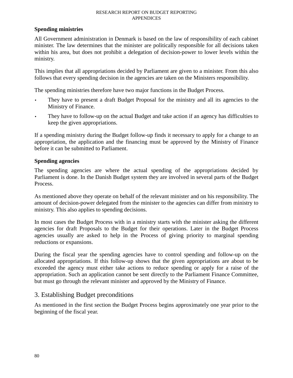### **Spending ministries**

All Government administration in Denmark is based on the law of responsibility of each cabinet minister. The law determines that the minister are politically responsible for all decisions taken within his area, but does not prohibit a delegation of decision-power to lower levels within the ministry.

This implies that all appropriations decided by Parliament are given to a minister. From this also follows that every spending decision in the agencies are taken on the Ministers responsibility.

The spending ministries therefore have two major functions in the Budget Process.

- They have to present a draft Budget Proposal for the ministry and all its agencies to the Ministry of Finance.
- They have to follow-up on the actual Budget and take action if an agency has difficulties to keep the given appropriations.

If a spending ministry during the Budget follow-up finds it necessary to apply for a change to an appropriation, the application and the financing must be approved by the Ministry of Finance before it can be submitted to Parliament.

### **Spending agencies**

The spending agencies are where the actual spending of the appropriations decided by Parliament is done. In the Danish Budget system they are involved in several parts of the Budget Process.

As mentioned above they operate on behalf of the relevant minister and on his responsibility. The amount of decision-power delegated from the minister to the agencies can differ from ministry to ministry. This also applies to spending decisions.

In most cases the Budget Process with in a ministry starts with the minister asking the different agencies for draft Proposals to the Budget for their operations. Later in the Budget Process agencies usually are asked to help in the Process of giving priority to marginal spending reductions or expansions.

During the fiscal year the spending agencies have to control spending and follow-up on the allocated appropriations. If this follow-up shows that the given appropriations are about to be exceeded the agency must either take actions to reduce spending or apply for a raise of the appropriation. Such an application cannot be sent directly to the Parliament Finance Committee, but must go through the relevant minister and approved by the Ministry of Finance.

# 3. Establishing Budget preconditions

As mentioned in the first section the Budget Process begins approximately one year prior to the beginning of the fiscal year.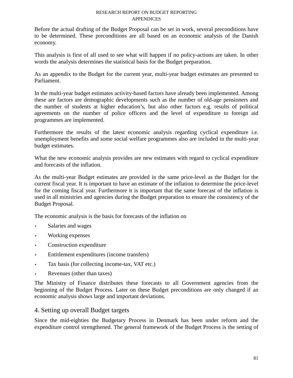Before the actual drafting of the Budget Proposal can be set in work, several preconditions have to be determined. These preconditions are all based on an economic analysis of the Danish economy.

This analysis is first of all used to see what will happen if no policy-actions are taken. In other words the analysis determines the statistical basis for the Budget preparation.

As an appendix to the Budget for the current year, multi-year budget estimates are presented to Parliament.

In the multi-year budget estimates activity-based factors have already been implemented. Among these are factors are demographic developments such as the number of old-age pensioners and the number of students at higher education's, but also other factors e.g. results of political agreements on the number of police officers and the level of expenditure to foreign aid programmes are implemented.

Furthermore the results of the latest economic analysis regarding cyclical expenditure i.e. unemployment benefits and some social welfare programmes also are included in the multi-year budget estimates.

What the new economic analysis provides are new estimates with regard to cyclical expenditure and forecasts of the inflation.

As the multi-year Budget estimates are provided in the same price-level as the Budget for the current fiscal year. It is important to have an estimate of the inflation to determine the price-level for the coming fiscal year. Furthermore it is important that the same forecast of the inflation is used in all ministries and agencies during the Budget preparation to ensure the consistency of the Budget Proposal.

The economic analysis is the basis for forecasts of the inflation on

- Salaries and wages
- Working expenses
- Construction expenditure
- Entitlement expenditures (income transfers)
- Tax basis (for collecting income-tax, VAT etc.)
- Revenues (other than taxes)

The Ministry of Finance distributes these forecasts to all Government agencies from the beginning of the Budget Process. Later on these Budget preconditions are only changed if an economic analysis shows large and important deviations.

# 4. Setting up overall Budget targets

Since the mid-eighties the Budgetary Process in Denmark has been under reform and the expenditure control strengthened. The general framework of the Budget Process is the setting of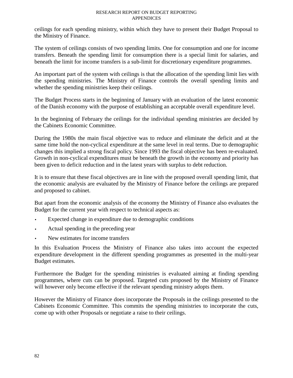ceilings for each spending ministry, within which they have to present their Budget Proposal to the Ministry of Finance.

The system of ceilings consists of two spending limits. One for consumption and one for income transfers. Beneath the spending limit for consumption there is a special limit for salaries, and beneath the limit for income transfers is a sub-limit for discretionary expenditure programmes.

An important part of the system with ceilings is that the allocation of the spending limit lies with the spending ministries. The Ministry of Finance controls the overall spending limits and whether the spending ministries keep their ceilings.

The Budget Process starts in the beginning of January with an evaluation of the latest economic of the Danish economy with the purpose of establishing an acceptable overall expenditure level.

In the beginning of February the ceilings for the individual spending ministries are decided by the Cabinets Economic Committee.

During the 1980s the main fiscal objective was to reduce and eliminate the deficit and at the same time hold the non-cyclical expenditure at the same level in real terms. Due to demographic changes this implied a strong fiscal policy. Since 1993 the fiscal objective has been re-evaluated. Growth in non-cyclical expenditures must be beneath the growth in the economy and priority has been given to deficit reduction and in the latest years with surplus to debt reduction.

It is to ensure that these fiscal objectives are in line with the proposed overall spending limit, that the economic analysis are evaluated by the Ministry of Finance before the ceilings are prepared and proposed to cabinet.

But apart from the economic analysis of the economy the Ministry of Finance also evaluates the Budget for the current year with respect to technical aspects as:

- Expected change in expenditure due to demographic conditions
- Actual spending in the preceding year
- New estimates for income transfers

In this Evaluation Process the Ministry of Finance also takes into account the expected expenditure development in the different spending programmes as presented in the multi-year Budget estimates.

Furthermore the Budget for the spending ministries is evaluated aiming at finding spending programmes, where cuts can be proposed. Targeted cuts proposed by the Ministry of Finance will however only become effective if the relevant spending ministry adopts them.

However the Ministry of Finance does incorporate the Proposals in the ceilings presented to the Cabinets Economic Committee. This commits the spending ministries to incorporate the cuts, come up with other Proposals or negotiate a raise to their ceilings.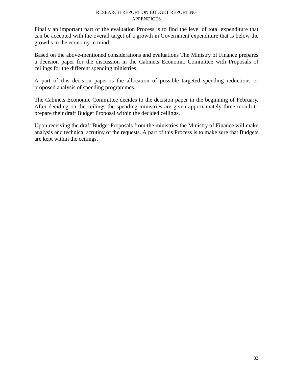Finally an important part of the evaluation Process is to find the level of total expenditure that can be accepted with the overall target of a growth in Government expenditure that is below the growths in the economy in mind.

Based on the above-mentioned considerations and evaluations The Ministry of Finance prepares a decision paper for the discussion in the Cabinets Economic Committee with Proposals of ceilings for the different spending ministries.

A part of this decision paper is the allocation of possible targeted spending reductions or proposed analysis of spending programmes.

The Cabinets Economic Committee decides to the decision paper in the beginning of February. After deciding on the ceilings the spending ministries are given approximately three month to prepare their draft Budget Proposal within the decided ceilings.

Upon receiving the draft Budget Proposals from the ministries the Ministry of Finance will make analysis and technical scrutiny of the requests. A part of this Process is to make sure that Budgets are kept within the ceilings.